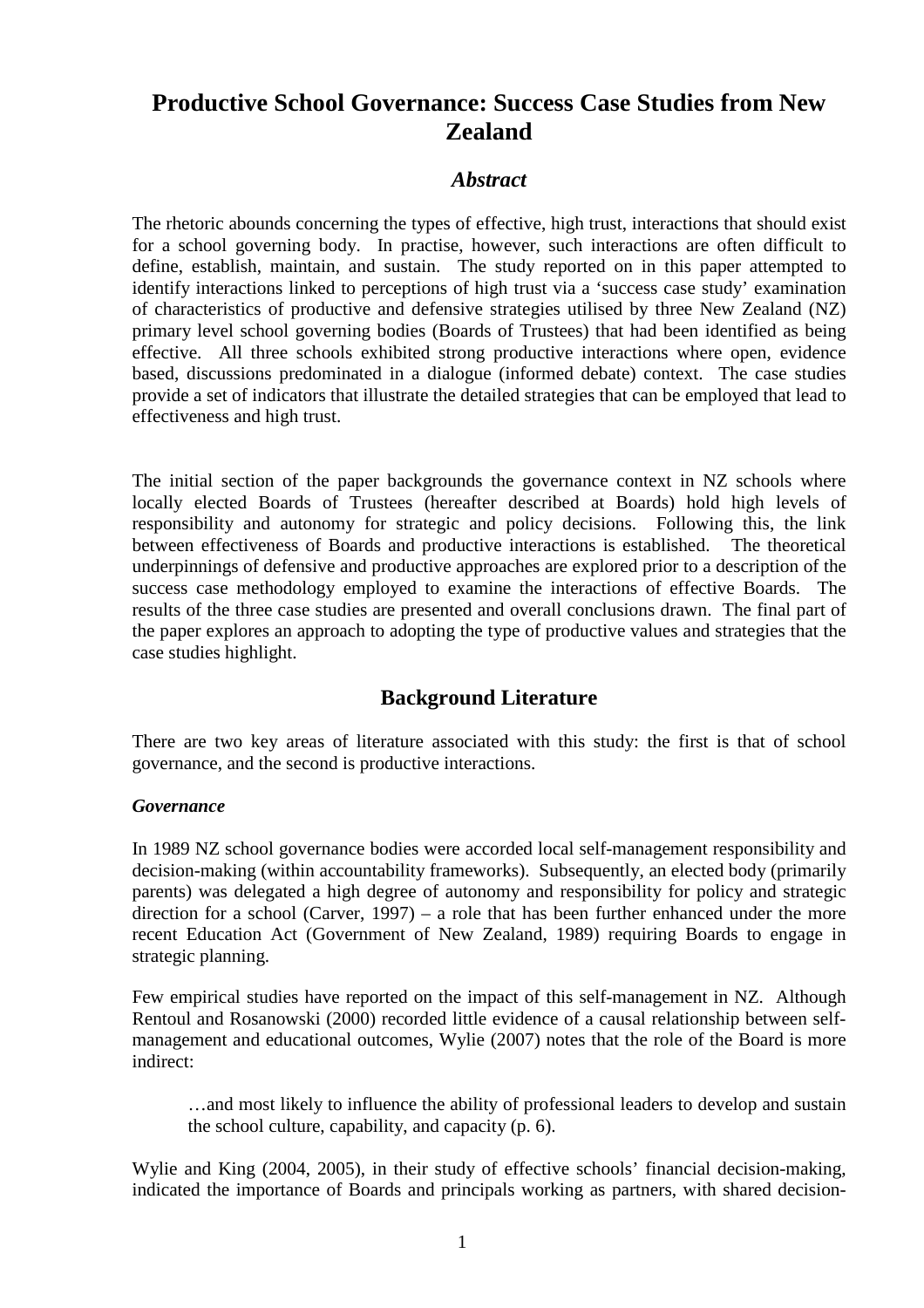# **Productive School Governance: Success Case Studies from New Zealand**

## *Abstract*

The rhetoric abounds concerning the types of effective, high trust, interactions that should exist for a school governing body. In practise, however, such interactions are often difficult to define, establish, maintain, and sustain. The study reported on in this paper attempted to identify interactions linked to perceptions of high trust via a 'success case study' examination of characteristics of productive and defensive strategies utilised by three New Zealand (NZ) primary level school governing bodies (Boards of Trustees) that had been identified as being effective. All three schools exhibited strong productive interactions where open, evidence based, discussions predominated in a dialogue (informed debate) context. The case studies provide a set of indicators that illustrate the detailed strategies that can be employed that lead to effectiveness and high trust.

The initial section of the paper backgrounds the governance context in NZ schools where locally elected Boards of Trustees (hereafter described at Boards) hold high levels of responsibility and autonomy for strategic and policy decisions. Following this, the link between effectiveness of Boards and productive interactions is established. The theoretical underpinnings of defensive and productive approaches are explored prior to a description of the success case methodology employed to examine the interactions of effective Boards. The results of the three case studies are presented and overall conclusions drawn. The final part of the paper explores an approach to adopting the type of productive values and strategies that the case studies highlight.

## **Background Literature**

There are two key areas of literature associated with this study: the first is that of school governance, and the second is productive interactions.

#### *Governance*

In 1989 NZ school governance bodies were accorded local self-management responsibility and decision-making (within accountability frameworks). Subsequently, an elected body (primarily parents) was delegated a high degree of autonomy and responsibility for policy and strategic direction for a school (Carver, 1997) – a role that has been further enhanced under the more recent Education Act (Government of New Zealand, 1989) requiring Boards to engage in strategic planning.

Few empirical studies have reported on the impact of this self-management in NZ. Although Rentoul and Rosanowski (2000) recorded little evidence of a causal relationship between selfmanagement and educational outcomes, Wylie (2007) notes that the role of the Board is more indirect:

…and most likely to influence the ability of professional leaders to develop and sustain the school culture, capability, and capacity (p. 6).

Wylie and King (2004, 2005), in their study of effective schools' financial decision-making, indicated the importance of Boards and principals working as partners, with shared decision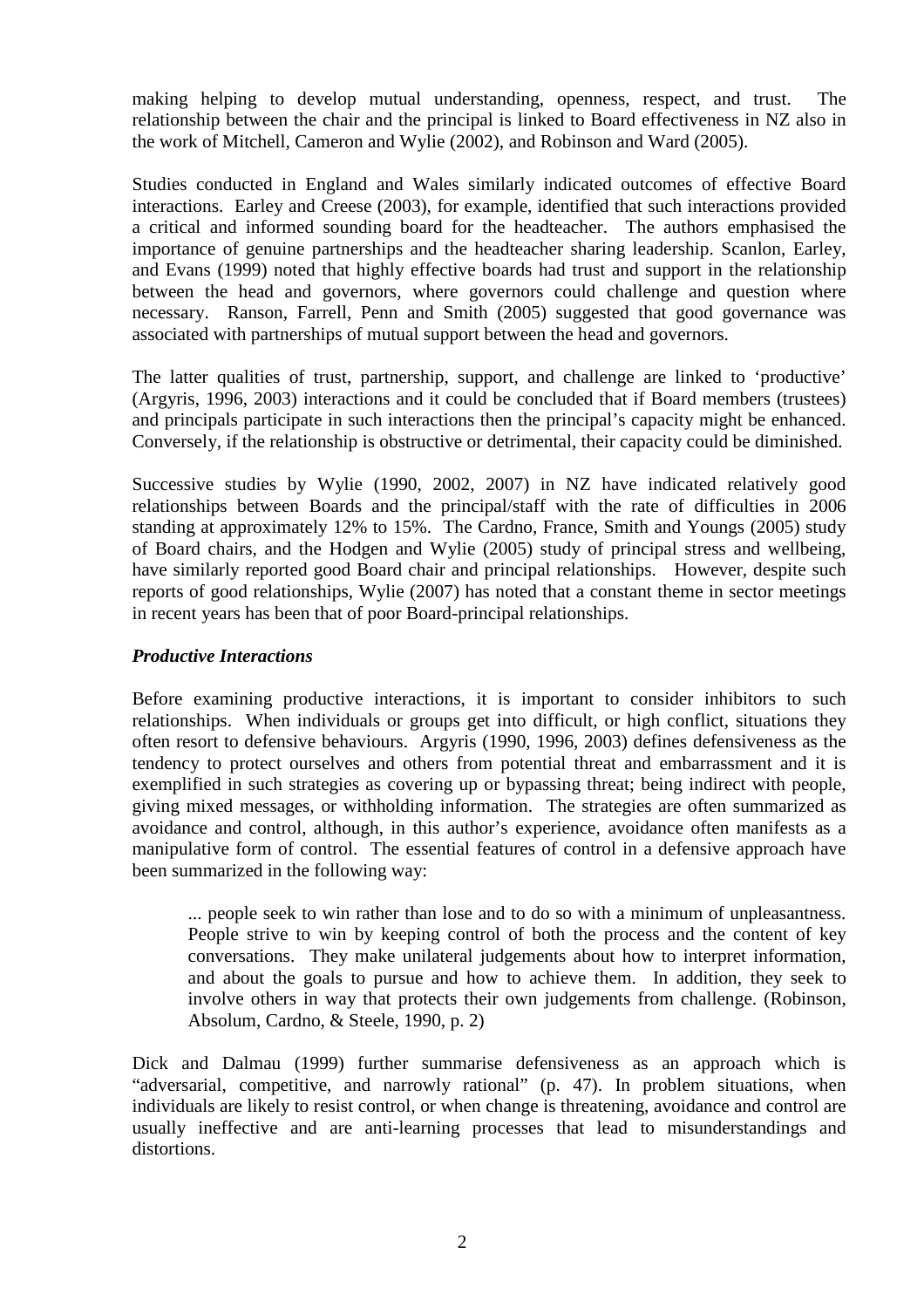making helping to develop mutual understanding, openness, respect, and trust. The relationship between the chair and the principal is linked to Board effectiveness in NZ also in the work of Mitchell, Cameron and Wylie (2002), and Robinson and Ward (2005).

Studies conducted in England and Wales similarly indicated outcomes of effective Board interactions. Earley and Creese (2003), for example, identified that such interactions provided a critical and informed sounding board for the headteacher. The authors emphasised the importance of genuine partnerships and the headteacher sharing leadership. Scanlon, Earley, and Evans (1999) noted that highly effective boards had trust and support in the relationship between the head and governors, where governors could challenge and question where necessary. Ranson, Farrell, Penn and Smith (2005) suggested that good governance was associated with partnerships of mutual support between the head and governors.

The latter qualities of trust, partnership, support, and challenge are linked to 'productive' (Argyris, 1996, 2003) interactions and it could be concluded that if Board members (trustees) and principals participate in such interactions then the principal's capacity might be enhanced. Conversely, if the relationship is obstructive or detrimental, their capacity could be diminished.

Successive studies by Wylie (1990, 2002, 2007) in NZ have indicated relatively good relationships between Boards and the principal/staff with the rate of difficulties in 2006 standing at approximately 12% to 15%. The Cardno, France, Smith and Youngs (2005) study of Board chairs, and the Hodgen and Wylie (2005) study of principal stress and wellbeing, have similarly reported good Board chair and principal relationships. However, despite such reports of good relationships, Wylie (2007) has noted that a constant theme in sector meetings in recent years has been that of poor Board-principal relationships.

#### *Productive Interactions*

Before examining productive interactions, it is important to consider inhibitors to such relationships. When individuals or groups get into difficult, or high conflict, situations they often resort to defensive behaviours. Argyris (1990, 1996, 2003) defines defensiveness as the tendency to protect ourselves and others from potential threat and embarrassment and it is exemplified in such strategies as covering up or bypassing threat; being indirect with people, giving mixed messages, or withholding information. The strategies are often summarized as avoidance and control, although, in this author's experience, avoidance often manifests as a manipulative form of control. The essential features of control in a defensive approach have been summarized in the following way:

... people seek to win rather than lose and to do so with a minimum of unpleasantness. People strive to win by keeping control of both the process and the content of key conversations. They make unilateral judgements about how to interpret information, and about the goals to pursue and how to achieve them. In addition, they seek to involve others in way that protects their own judgements from challenge. (Robinson, Absolum, Cardno, & Steele, 1990, p. 2)

Dick and Dalmau (1999) further summarise defensiveness as an approach which is "adversarial, competitive, and narrowly rational" (p. 47). In problem situations, when individuals are likely to resist control, or when change is threatening, avoidance and control are usually ineffective and are anti-learning processes that lead to misunderstandings and distortions.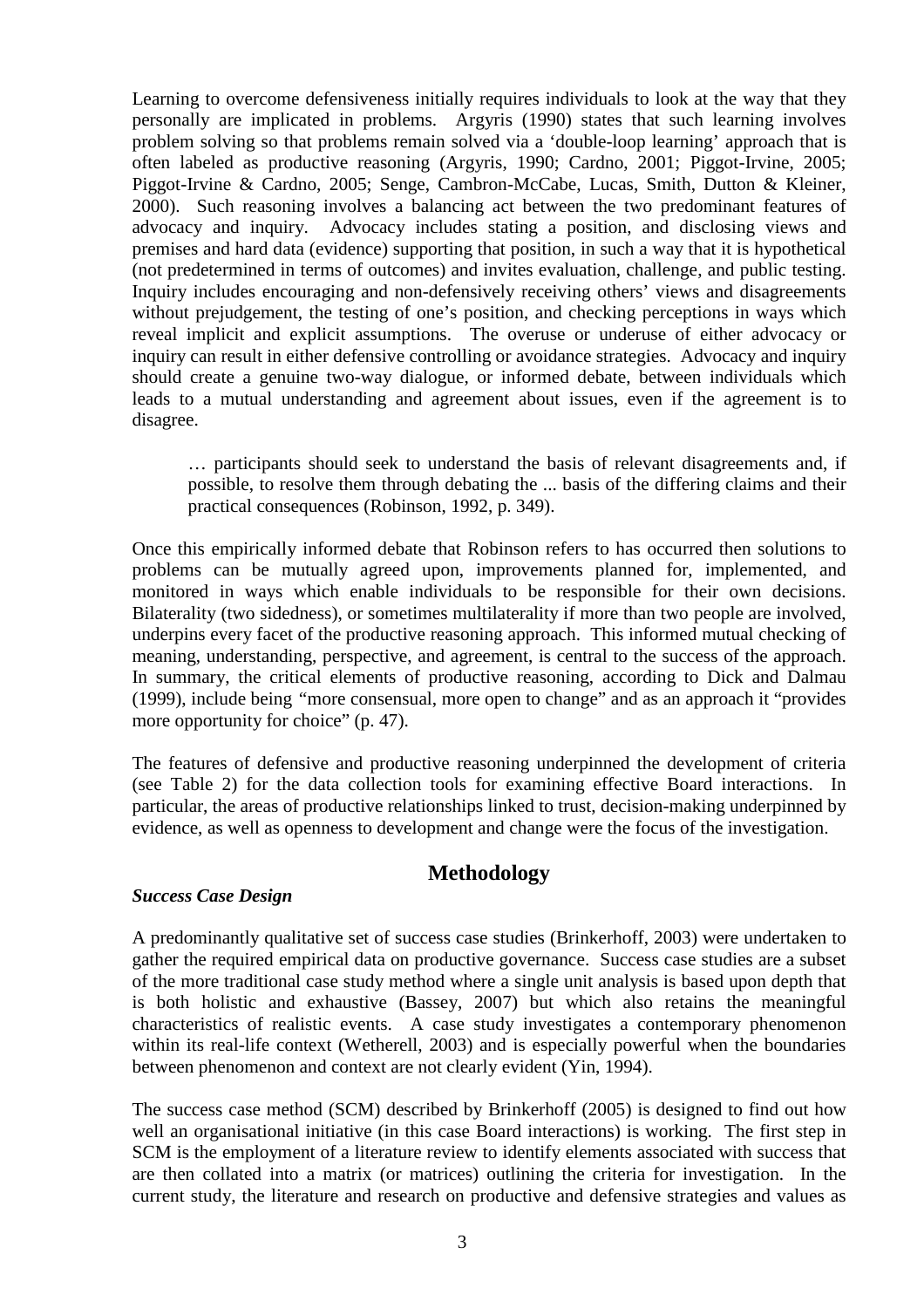Learning to overcome defensiveness initially requires individuals to look at the way that they personally are implicated in problems. Argyris (1990) states that such learning involves problem solving so that problems remain solved via a 'double-loop learning' approach that is often labeled as productive reasoning (Argyris, 1990; Cardno, 2001; Piggot-Irvine, 2005; Piggot-Irvine & Cardno, 2005; Senge, Cambron-McCabe, Lucas, Smith, Dutton & Kleiner, 2000). Such reasoning involves a balancing act between the two predominant features of advocacy and inquiry. Advocacy includes stating a position, and disclosing views and premises and hard data (evidence) supporting that position, in such a way that it is hypothetical (not predetermined in terms of outcomes) and invites evaluation, challenge, and public testing. Inquiry includes encouraging and non-defensively receiving others' views and disagreements without prejudgement, the testing of one's position, and checking perceptions in ways which reveal implicit and explicit assumptions. The overuse or underuse of either advocacy or inquiry can result in either defensive controlling or avoidance strategies. Advocacy and inquiry should create a genuine two-way dialogue, or informed debate, between individuals which leads to a mutual understanding and agreement about issues, even if the agreement is to disagree.

… participants should seek to understand the basis of relevant disagreements and, if possible, to resolve them through debating the ... basis of the differing claims and their practical consequences (Robinson, 1992, p. 349).

Once this empirically informed debate that Robinson refers to has occurred then solutions to problems can be mutually agreed upon, improvements planned for, implemented, and monitored in ways which enable individuals to be responsible for their own decisions. Bilaterality (two sidedness), or sometimes multilaterality if more than two people are involved, underpins every facet of the productive reasoning approach. This informed mutual checking of meaning, understanding, perspective, and agreement, is central to the success of the approach. In summary, the critical elements of productive reasoning, according to Dick and Dalmau (1999), include being *"*more consensual, more open to change" and as an approach it "provides more opportunity for choice" (p. 47).

The features of defensive and productive reasoning underpinned the development of criteria (see Table 2) for the data collection tools for examining effective Board interactions. In particular, the areas of productive relationships linked to trust, decision-making underpinned by evidence, as well as openness to development and change were the focus of the investigation.

## **Methodology**

#### *Success Case Design*

A predominantly qualitative set of success case studies (Brinkerhoff, 2003) were undertaken to gather the required empirical data on productive governance. Success case studies are a subset of the more traditional case study method where a single unit analysis is based upon depth that is both holistic and exhaustive (Bassey, 2007) but which also retains the meaningful characteristics of realistic events. A case study investigates a contemporary phenomenon within its real-life context (Wetherell, 2003) and is especially powerful when the boundaries between phenomenon and context are not clearly evident (Yin, 1994).

The success case method (SCM) described by Brinkerhoff (2005) is designed to find out how well an organisational initiative (in this case Board interactions) is working. The first step in SCM is the employment of a literature review to identify elements associated with success that are then collated into a matrix (or matrices) outlining the criteria for investigation. In the current study, the literature and research on productive and defensive strategies and values as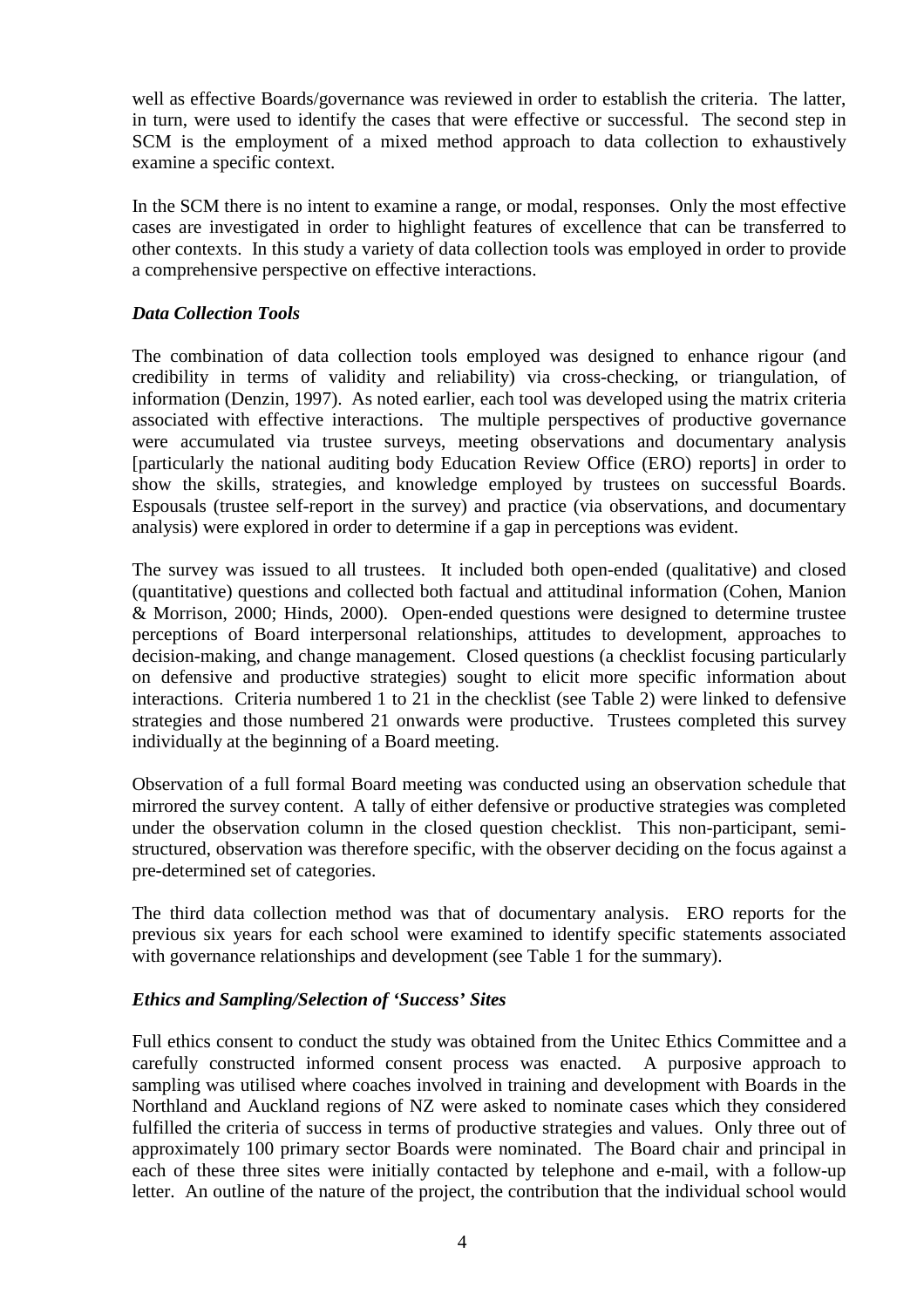well as effective Boards/governance was reviewed in order to establish the criteria. The latter, in turn, were used to identify the cases that were effective or successful. The second step in SCM is the employment of a mixed method approach to data collection to exhaustively examine a specific context.

In the SCM there is no intent to examine a range, or modal, responses. Only the most effective cases are investigated in order to highlight features of excellence that can be transferred to other contexts. In this study a variety of data collection tools was employed in order to provide a comprehensive perspective on effective interactions.

### *Data Collection Tools*

The combination of data collection tools employed was designed to enhance rigour (and credibility in terms of validity and reliability) via cross-checking, or triangulation, of information (Denzin, 1997). As noted earlier, each tool was developed using the matrix criteria associated with effective interactions. The multiple perspectives of productive governance were accumulated via trustee surveys, meeting observations and documentary analysis [particularly the national auditing body Education Review Office (ERO) reports] in order to show the skills, strategies, and knowledge employed by trustees on successful Boards. Espousals (trustee self-report in the survey) and practice (via observations, and documentary analysis) were explored in order to determine if a gap in perceptions was evident.

The survey was issued to all trustees. It included both open-ended (qualitative) and closed (quantitative) questions and collected both factual and attitudinal information (Cohen, Manion & Morrison, 2000; Hinds, 2000). Open-ended questions were designed to determine trustee perceptions of Board interpersonal relationships, attitudes to development, approaches to decision-making, and change management. Closed questions (a checklist focusing particularly on defensive and productive strategies) sought to elicit more specific information about interactions. Criteria numbered 1 to 21 in the checklist (see Table 2) were linked to defensive strategies and those numbered 21 onwards were productive. Trustees completed this survey individually at the beginning of a Board meeting.

Observation of a full formal Board meeting was conducted using an observation schedule that mirrored the survey content. A tally of either defensive or productive strategies was completed under the observation column in the closed question checklist. This non-participant, semistructured, observation was therefore specific, with the observer deciding on the focus against a pre-determined set of categories.

The third data collection method was that of documentary analysis. ERO reports for the previous six years for each school were examined to identify specific statements associated with governance relationships and development (see Table 1 for the summary).

## *Ethics and Sampling/Selection of 'Success' Sites*

Full ethics consent to conduct the study was obtained from the Unitec Ethics Committee and a carefully constructed informed consent process was enacted. A purposive approach to sampling was utilised where coaches involved in training and development with Boards in the Northland and Auckland regions of NZ were asked to nominate cases which they considered fulfilled the criteria of success in terms of productive strategies and values. Only three out of approximately 100 primary sector Boards were nominated. The Board chair and principal in each of these three sites were initially contacted by telephone and e-mail, with a follow-up letter. An outline of the nature of the project, the contribution that the individual school would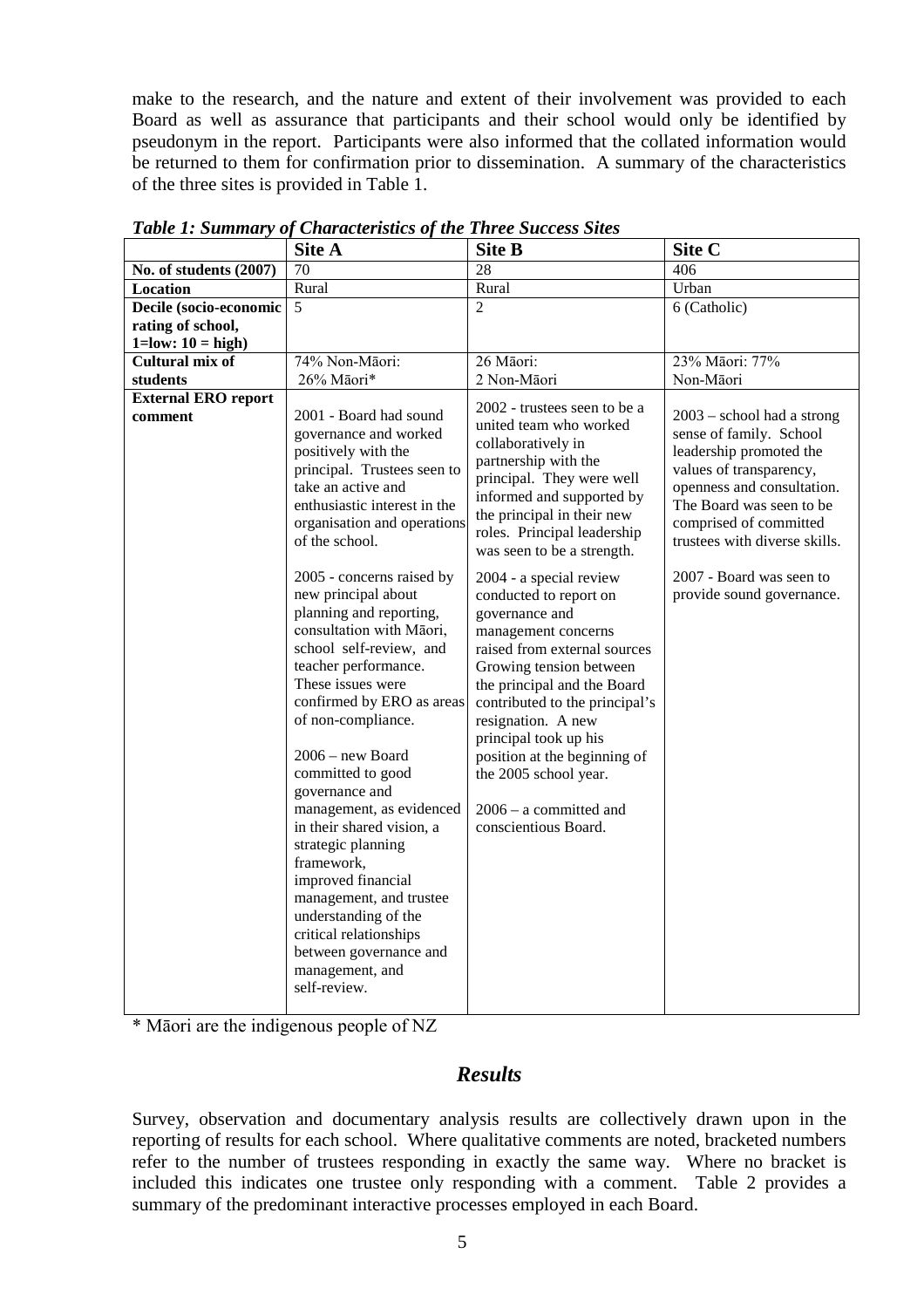make to the research, and the nature and extent of their involvement was provided to each Board as well as assurance that participants and their school would only be identified by pseudonym in the report. Participants were also informed that the collated information would be returned to them for confirmation prior to dissemination. A summary of the characteristics of the three sites is provided in Table 1.

|                                       | Site A                                                                                                                                                                                                                                                                                                                                                                                                                                                                                                                                                                                                                                                                      | <b>Site B</b>                                                                                                                                                                                                                                                                                                                                                                                                                                                                                                                                                                                                                                   | Site C                                                                                                                                                                                                                                                                                      |
|---------------------------------------|-----------------------------------------------------------------------------------------------------------------------------------------------------------------------------------------------------------------------------------------------------------------------------------------------------------------------------------------------------------------------------------------------------------------------------------------------------------------------------------------------------------------------------------------------------------------------------------------------------------------------------------------------------------------------------|-------------------------------------------------------------------------------------------------------------------------------------------------------------------------------------------------------------------------------------------------------------------------------------------------------------------------------------------------------------------------------------------------------------------------------------------------------------------------------------------------------------------------------------------------------------------------------------------------------------------------------------------------|---------------------------------------------------------------------------------------------------------------------------------------------------------------------------------------------------------------------------------------------------------------------------------------------|
| No. of students (2007)                | 70                                                                                                                                                                                                                                                                                                                                                                                                                                                                                                                                                                                                                                                                          | 28                                                                                                                                                                                                                                                                                                                                                                                                                                                                                                                                                                                                                                              | 406                                                                                                                                                                                                                                                                                         |
| Location                              | Rural                                                                                                                                                                                                                                                                                                                                                                                                                                                                                                                                                                                                                                                                       | Rural                                                                                                                                                                                                                                                                                                                                                                                                                                                                                                                                                                                                                                           | Urban                                                                                                                                                                                                                                                                                       |
| Decile (socio-economic                | $\overline{5}$                                                                                                                                                                                                                                                                                                                                                                                                                                                                                                                                                                                                                                                              | $\overline{2}$                                                                                                                                                                                                                                                                                                                                                                                                                                                                                                                                                                                                                                  | 6 (Catholic)                                                                                                                                                                                                                                                                                |
| rating of school,                     |                                                                                                                                                                                                                                                                                                                                                                                                                                                                                                                                                                                                                                                                             |                                                                                                                                                                                                                                                                                                                                                                                                                                                                                                                                                                                                                                                 |                                                                                                                                                                                                                                                                                             |
| $1 = low: 10 = high$                  |                                                                                                                                                                                                                                                                                                                                                                                                                                                                                                                                                                                                                                                                             |                                                                                                                                                                                                                                                                                                                                                                                                                                                                                                                                                                                                                                                 |                                                                                                                                                                                                                                                                                             |
| <b>Cultural mix of</b>                | 74% Non-Māori:                                                                                                                                                                                                                                                                                                                                                                                                                                                                                                                                                                                                                                                              | 26 Māori:                                                                                                                                                                                                                                                                                                                                                                                                                                                                                                                                                                                                                                       | 23% Māori: 77%                                                                                                                                                                                                                                                                              |
| students                              |                                                                                                                                                                                                                                                                                                                                                                                                                                                                                                                                                                                                                                                                             | 2 Non-Māori                                                                                                                                                                                                                                                                                                                                                                                                                                                                                                                                                                                                                                     | Non-Māori                                                                                                                                                                                                                                                                                   |
| <b>External ERO report</b><br>comment | 26% Māori*<br>2001 - Board had sound<br>governance and worked<br>positively with the<br>principal. Trustees seen to<br>take an active and<br>enthusiastic interest in the<br>organisation and operations<br>of the school.<br>2005 - concerns raised by<br>new principal about<br>planning and reporting,<br>consultation with Māori,<br>school self-review, and<br>teacher performance.<br>These issues were<br>confirmed by ERO as areas<br>of non-compliance.<br>$2006 - new Board$<br>committed to good<br>governance and<br>management, as evidenced<br>in their shared vision, a<br>strategic planning<br>framework,<br>improved financial<br>management, and trustee | 2002 - trustees seen to be a<br>united team who worked<br>collaboratively in<br>partnership with the<br>principal. They were well<br>informed and supported by<br>the principal in their new<br>roles. Principal leadership<br>was seen to be a strength.<br>2004 - a special review<br>conducted to report on<br>governance and<br>management concerns<br>raised from external sources<br>Growing tension between<br>the principal and the Board<br>contributed to the principal's<br>resignation. A new<br>principal took up his<br>position at the beginning of<br>the 2005 school year.<br>$2006 - a$ committed and<br>conscientious Board. | $2003$ – school had a strong<br>sense of family. School<br>leadership promoted the<br>values of transparency,<br>openness and consultation.<br>The Board was seen to be<br>comprised of committed<br>trustees with diverse skills.<br>2007 - Board was seen to<br>provide sound governance. |
|                                       | understanding of the<br>critical relationships<br>between governance and<br>management, and<br>self-review.                                                                                                                                                                                                                                                                                                                                                                                                                                                                                                                                                                 |                                                                                                                                                                                                                                                                                                                                                                                                                                                                                                                                                                                                                                                 |                                                                                                                                                                                                                                                                                             |

*Table 1: Summary of Characteristics of the Three Success Sites*

\* Māori are the indigenous people of NZ

## *Results*

Survey, observation and documentary analysis results are collectively drawn upon in the reporting of results for each school. Where qualitative comments are noted, bracketed numbers refer to the number of trustees responding in exactly the same way. Where no bracket is included this indicates one trustee only responding with a comment. Table 2 provides a summary of the predominant interactive processes employed in each Board.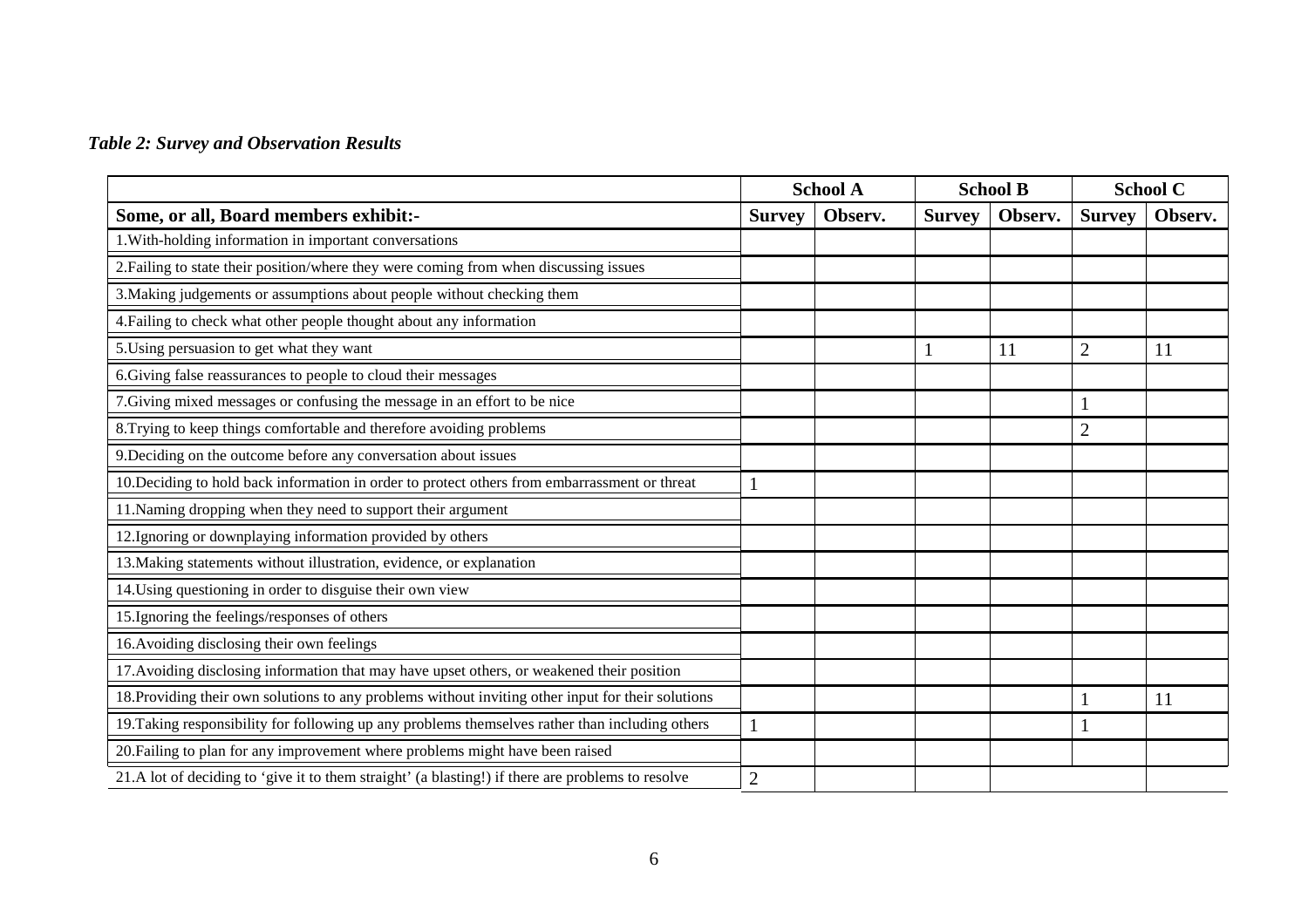## *Table 2: Survey and Observation Results*

|                                                                                                    | <b>School A</b> |         | <b>School B</b> |         |                | <b>School C</b> |
|----------------------------------------------------------------------------------------------------|-----------------|---------|-----------------|---------|----------------|-----------------|
| Some, or all, Board members exhibit:-                                                              |                 | Observ. | <b>Survey</b>   | Observ. | <b>Survey</b>  | Observ.         |
| 1. With-holding information in important conversations                                             |                 |         |                 |         |                |                 |
| 2. Failing to state their position/where they were coming from when discussing issues              |                 |         |                 |         |                |                 |
| 3. Making judgements or assumptions about people without checking them                             |                 |         |                 |         |                |                 |
| 4. Failing to check what other people thought about any information                                |                 |         |                 |         |                |                 |
| 5. Using persuasion to get what they want                                                          |                 |         |                 | 11      | $\overline{2}$ | 11              |
| 6. Giving false reassurances to people to cloud their messages                                     |                 |         |                 |         |                |                 |
| 7. Giving mixed messages or confusing the message in an effort to be nice                          |                 |         |                 |         |                |                 |
| 8. Trying to keep things comfortable and therefore avoiding problems                               |                 |         |                 |         | $\overline{c}$ |                 |
| 9. Deciding on the outcome before any conversation about issues                                    |                 |         |                 |         |                |                 |
| 10. Deciding to hold back information in order to protect others from embarrassment or threat      |                 |         |                 |         |                |                 |
| 11. Naming dropping when they need to support their argument                                       |                 |         |                 |         |                |                 |
| 12. Ignoring or downplaying information provided by others                                         |                 |         |                 |         |                |                 |
| 13. Making statements without illustration, evidence, or explanation                               |                 |         |                 |         |                |                 |
| 14. Using questioning in order to disguise their own view                                          |                 |         |                 |         |                |                 |
| 15. Ignoring the feelings/responses of others                                                      |                 |         |                 |         |                |                 |
| 16. Avoiding disclosing their own feelings                                                         |                 |         |                 |         |                |                 |
| 17. Avoiding disclosing information that may have upset others, or weakened their position         |                 |         |                 |         |                |                 |
| 18. Providing their own solutions to any problems without inviting other input for their solutions |                 |         |                 |         |                | 11              |
| 19. Taking responsibility for following up any problems themselves rather than including others    |                 |         |                 |         |                |                 |
| 20. Failing to plan for any improvement where problems might have been raised                      |                 |         |                 |         |                |                 |
| 21.A lot of deciding to 'give it to them straight' (a blasting!) if there are problems to resolve  |                 |         |                 |         |                |                 |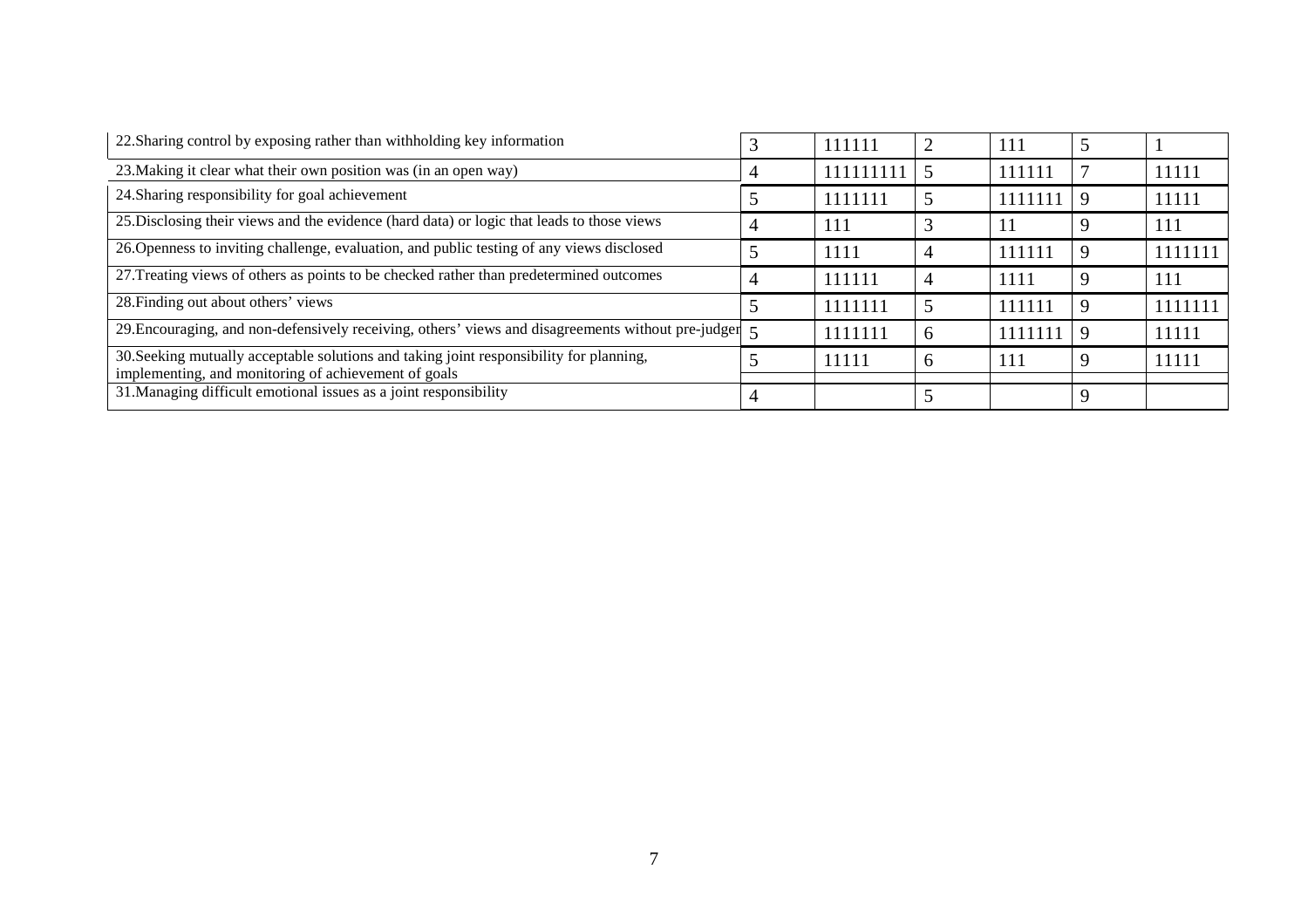| 22. Sharing control by exposing rather than withholding key information                                                   |  | 111111    |                | 111     |         |
|---------------------------------------------------------------------------------------------------------------------------|--|-----------|----------------|---------|---------|
| 23. Making it clear what their own position was (in an open way)                                                          |  | 111111111 |                | 111111  | 11111   |
| 24. Sharing responsibility for goal achievement                                                                           |  | 1111111   |                | 1111111 | 11111   |
| 25. Disclosing their views and the evidence (hard data) or logic that leads to those views                                |  | 111       |                |         | 111     |
| 26. Openness to inviting challenge, evaluation, and public testing of any views disclosed                                 |  | 1111      | $\overline{4}$ | 111111  | 1111111 |
| 27. Treating views of others as points to be checked rather than predetermined outcomes                                   |  | 111111    |                | 1111    | 111     |
| 28. Finding out about others' views                                                                                       |  | 1111111   |                | 111111  | 1111111 |
| 29. Encouraging, and non-defensively receiving, others' views and disagreements without pre-judger 5                      |  | 1111111   | <sub>0</sub>   | 1111111 | 11111   |
| 30. Seeking mutually acceptable solutions and taking joint responsibility for planning,                                   |  | 11111     | 6              | 111     | 11111   |
| implementing, and monitoring of achievement of goals<br>31. Managing difficult emotional issues as a joint responsibility |  |           |                |         |         |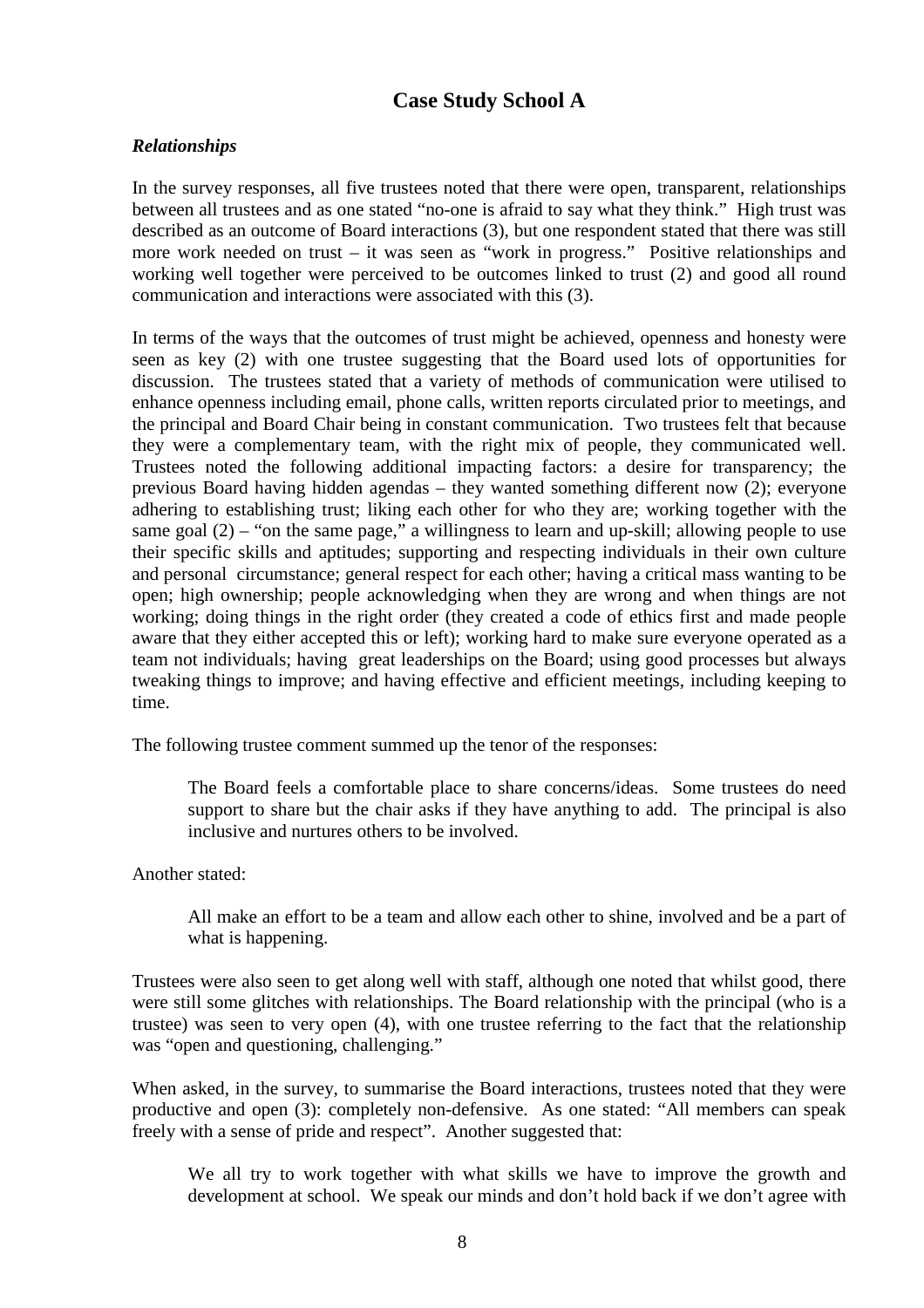## **Case Study School A**

## *Relationships*

In the survey responses, all five trustees noted that there were open, transparent, relationships between all trustees and as one stated "no-one is afraid to say what they think." High trust was described as an outcome of Board interactions (3), but one respondent stated that there was still more work needed on trust – it was seen as "work in progress." Positive relationships and working well together were perceived to be outcomes linked to trust (2) and good all round communication and interactions were associated with this (3).

In terms of the ways that the outcomes of trust might be achieved, openness and honesty were seen as key (2) with one trustee suggesting that the Board used lots of opportunities for discussion. The trustees stated that a variety of methods of communication were utilised to enhance openness including email, phone calls, written reports circulated prior to meetings, and the principal and Board Chair being in constant communication. Two trustees felt that because they were a complementary team, with the right mix of people, they communicated well. Trustees noted the following additional impacting factors: a desire for transparency; the previous Board having hidden agendas – they wanted something different now (2); everyone adhering to establishing trust; liking each other for who they are; working together with the same goal  $(2)$  – "on the same page," a willingness to learn and up-skill; allowing people to use their specific skills and aptitudes; supporting and respecting individuals in their own culture and personal circumstance; general respect for each other; having a critical mass wanting to be open; high ownership; people acknowledging when they are wrong and when things are not working; doing things in the right order (they created a code of ethics first and made people aware that they either accepted this or left); working hard to make sure everyone operated as a team not individuals; having great leaderships on the Board; using good processes but always tweaking things to improve; and having effective and efficient meetings, including keeping to time.

The following trustee comment summed up the tenor of the responses:

The Board feels a comfortable place to share concerns/ideas. Some trustees do need support to share but the chair asks if they have anything to add. The principal is also inclusive and nurtures others to be involved.

Another stated:

All make an effort to be a team and allow each other to shine, involved and be a part of what is happening.

Trustees were also seen to get along well with staff, although one noted that whilst good, there were still some glitches with relationships. The Board relationship with the principal (who is a trustee) was seen to very open (4), with one trustee referring to the fact that the relationship was "open and questioning, challenging."

When asked, in the survey, to summarise the Board interactions, trustees noted that they were productive and open (3): completely non-defensive. As one stated: "All members can speak freely with a sense of pride and respect". Another suggested that:

We all try to work together with what skills we have to improve the growth and development at school. We speak our minds and don't hold back if we don't agree with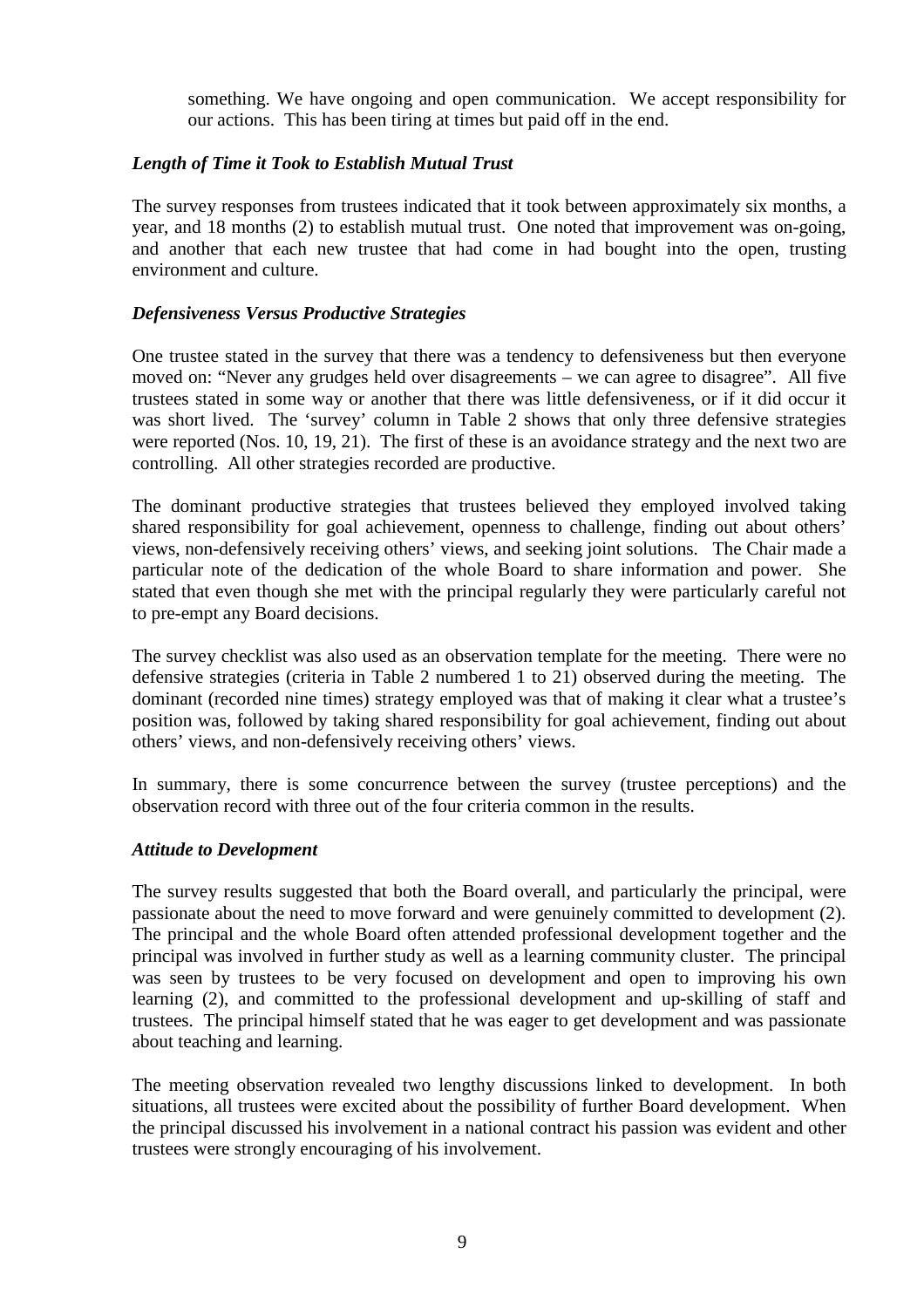something. We have ongoing and open communication. We accept responsibility for our actions. This has been tiring at times but paid off in the end.

#### *Length of Time it Took to Establish Mutual Trust*

The survey responses from trustees indicated that it took between approximately six months, a year, and 18 months (2) to establish mutual trust. One noted that improvement was on-going, and another that each new trustee that had come in had bought into the open, trusting environment and culture.

#### *Defensiveness Versus Productive Strategies*

One trustee stated in the survey that there was a tendency to defensiveness but then everyone moved on: "Never any grudges held over disagreements – we can agree to disagree". All five trustees stated in some way or another that there was little defensiveness, or if it did occur it was short lived. The 'survey' column in Table 2 shows that only three defensive strategies were reported (Nos. 10, 19, 21). The first of these is an avoidance strategy and the next two are controlling. All other strategies recorded are productive.

The dominant productive strategies that trustees believed they employed involved taking shared responsibility for goal achievement, openness to challenge, finding out about others' views, non-defensively receiving others' views, and seeking joint solutions. The Chair made a particular note of the dedication of the whole Board to share information and power. She stated that even though she met with the principal regularly they were particularly careful not to pre-empt any Board decisions.

The survey checklist was also used as an observation template for the meeting. There were no defensive strategies (criteria in Table 2 numbered 1 to 21) observed during the meeting. The dominant (recorded nine times) strategy employed was that of making it clear what a trustee's position was, followed by taking shared responsibility for goal achievement, finding out about others' views, and non-defensively receiving others' views.

In summary, there is some concurrence between the survey (trustee perceptions) and the observation record with three out of the four criteria common in the results.

#### *Attitude to Development*

The survey results suggested that both the Board overall, and particularly the principal, were passionate about the need to move forward and were genuinely committed to development (2). The principal and the whole Board often attended professional development together and the principal was involved in further study as well as a learning community cluster. The principal was seen by trustees to be very focused on development and open to improving his own learning (2), and committed to the professional development and up-skilling of staff and trustees. The principal himself stated that he was eager to get development and was passionate about teaching and learning.

The meeting observation revealed two lengthy discussions linked to development. In both situations, all trustees were excited about the possibility of further Board development. When the principal discussed his involvement in a national contract his passion was evident and other trustees were strongly encouraging of his involvement.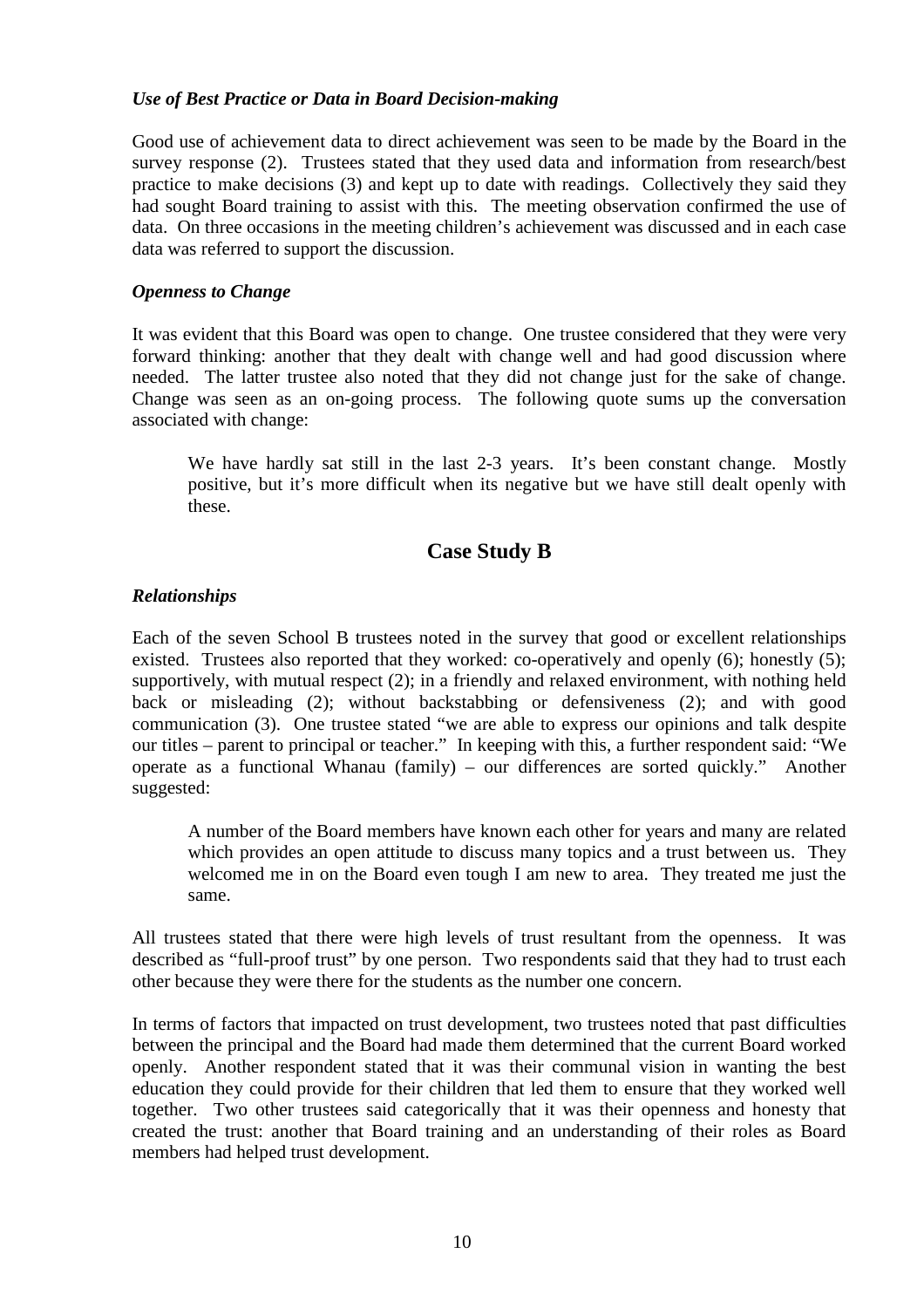### *Use of Best Practice or Data in Board Decision-making*

Good use of achievement data to direct achievement was seen to be made by the Board in the survey response (2). Trustees stated that they used data and information from research/best practice to make decisions (3) and kept up to date with readings. Collectively they said they had sought Board training to assist with this. The meeting observation confirmed the use of data. On three occasions in the meeting children's achievement was discussed and in each case data was referred to support the discussion.

### *Openness to Change*

It was evident that this Board was open to change. One trustee considered that they were very forward thinking: another that they dealt with change well and had good discussion where needed. The latter trustee also noted that they did not change just for the sake of change. Change was seen as an on-going process. The following quote sums up the conversation associated with change:

We have hardly sat still in the last 2-3 years. It's been constant change. Mostly positive, but it's more difficult when its negative but we have still dealt openly with these.

## **Case Study B**

## *Relationships*

Each of the seven School B trustees noted in the survey that good or excellent relationships existed. Trustees also reported that they worked: co-operatively and openly (6); honestly (5); supportively, with mutual respect (2); in a friendly and relaxed environment, with nothing held back or misleading (2); without backstabbing or defensiveness (2); and with good communication (3). One trustee stated "we are able to express our opinions and talk despite our titles – parent to principal or teacher." In keeping with this, a further respondent said: "We operate as a functional Whanau (family) – our differences are sorted quickly." Another suggested:

A number of the Board members have known each other for years and many are related which provides an open attitude to discuss many topics and a trust between us. They welcomed me in on the Board even tough I am new to area. They treated me just the same.

All trustees stated that there were high levels of trust resultant from the openness. It was described as "full-proof trust" by one person. Two respondents said that they had to trust each other because they were there for the students as the number one concern.

In terms of factors that impacted on trust development, two trustees noted that past difficulties between the principal and the Board had made them determined that the current Board worked openly. Another respondent stated that it was their communal vision in wanting the best education they could provide for their children that led them to ensure that they worked well together. Two other trustees said categorically that it was their openness and honesty that created the trust: another that Board training and an understanding of their roles as Board members had helped trust development.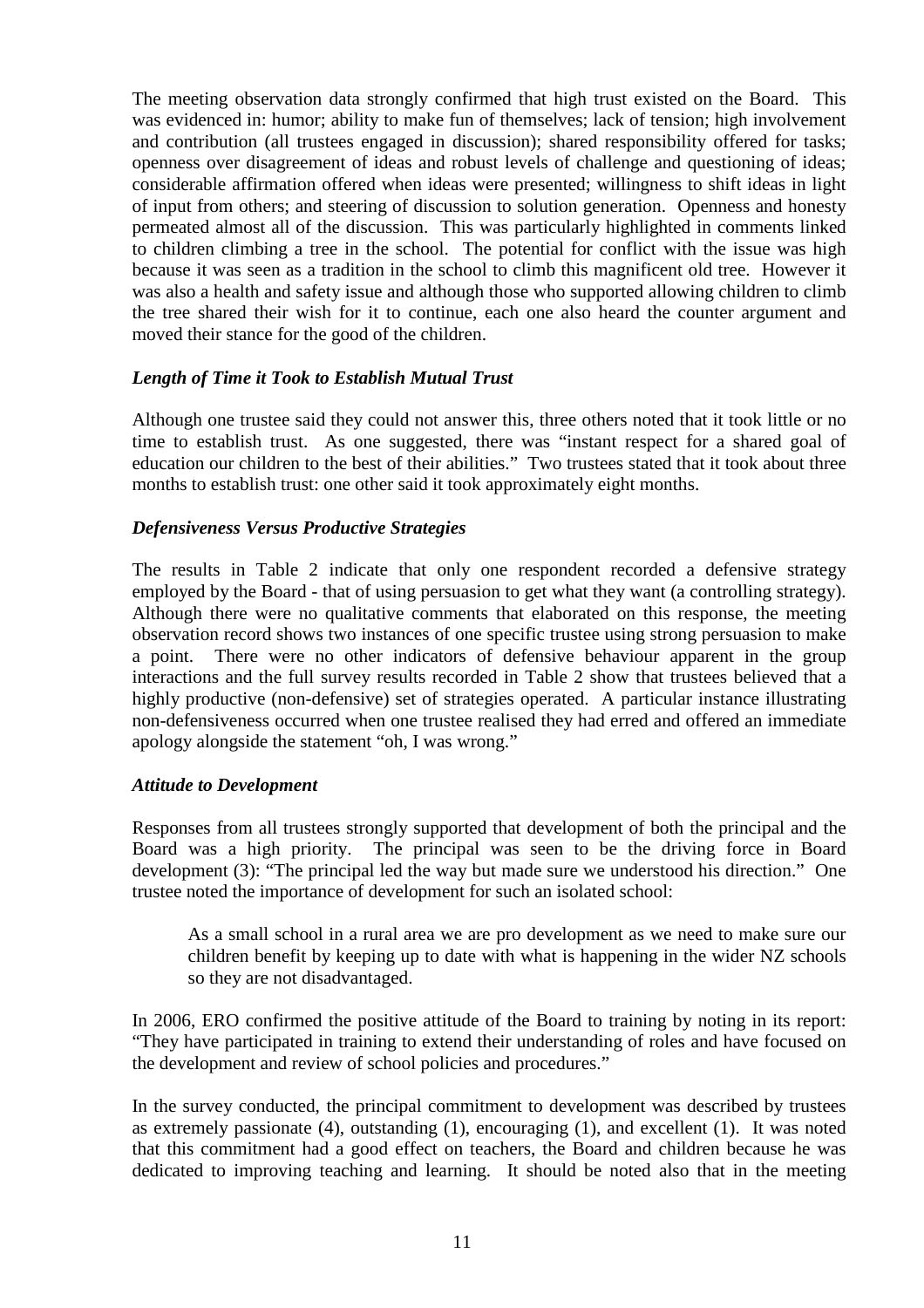The meeting observation data strongly confirmed that high trust existed on the Board. This was evidenced in: humor; ability to make fun of themselves; lack of tension; high involvement and contribution (all trustees engaged in discussion); shared responsibility offered for tasks; openness over disagreement of ideas and robust levels of challenge and questioning of ideas; considerable affirmation offered when ideas were presented; willingness to shift ideas in light of input from others; and steering of discussion to solution generation. Openness and honesty permeated almost all of the discussion. This was particularly highlighted in comments linked to children climbing a tree in the school. The potential for conflict with the issue was high because it was seen as a tradition in the school to climb this magnificent old tree. However it was also a health and safety issue and although those who supported allowing children to climb the tree shared their wish for it to continue, each one also heard the counter argument and moved their stance for the good of the children.

## *Length of Time it Took to Establish Mutual Trust*

Although one trustee said they could not answer this, three others noted that it took little or no time to establish trust. As one suggested, there was "instant respect for a shared goal of education our children to the best of their abilities." Two trustees stated that it took about three months to establish trust: one other said it took approximately eight months.

#### *Defensiveness Versus Productive Strategies*

The results in Table 2 indicate that only one respondent recorded a defensive strategy employed by the Board - that of using persuasion to get what they want (a controlling strategy). Although there were no qualitative comments that elaborated on this response, the meeting observation record shows two instances of one specific trustee using strong persuasion to make a point. There were no other indicators of defensive behaviour apparent in the group interactions and the full survey results recorded in Table 2 show that trustees believed that a highly productive (non-defensive) set of strategies operated. A particular instance illustrating non-defensiveness occurred when one trustee realised they had erred and offered an immediate apology alongside the statement "oh, I was wrong."

#### *Attitude to Development*

Responses from all trustees strongly supported that development of both the principal and the Board was a high priority. The principal was seen to be the driving force in Board development (3): "The principal led the way but made sure we understood his direction." One trustee noted the importance of development for such an isolated school:

As a small school in a rural area we are pro development as we need to make sure our children benefit by keeping up to date with what is happening in the wider NZ schools so they are not disadvantaged.

In 2006, ERO confirmed the positive attitude of the Board to training by noting in its report: "They have participated in training to extend their understanding of roles and have focused on the development and review of school policies and procedures."

In the survey conducted, the principal commitment to development was described by trustees as extremely passionate (4), outstanding (1), encouraging (1), and excellent (1). It was noted that this commitment had a good effect on teachers, the Board and children because he was dedicated to improving teaching and learning. It should be noted also that in the meeting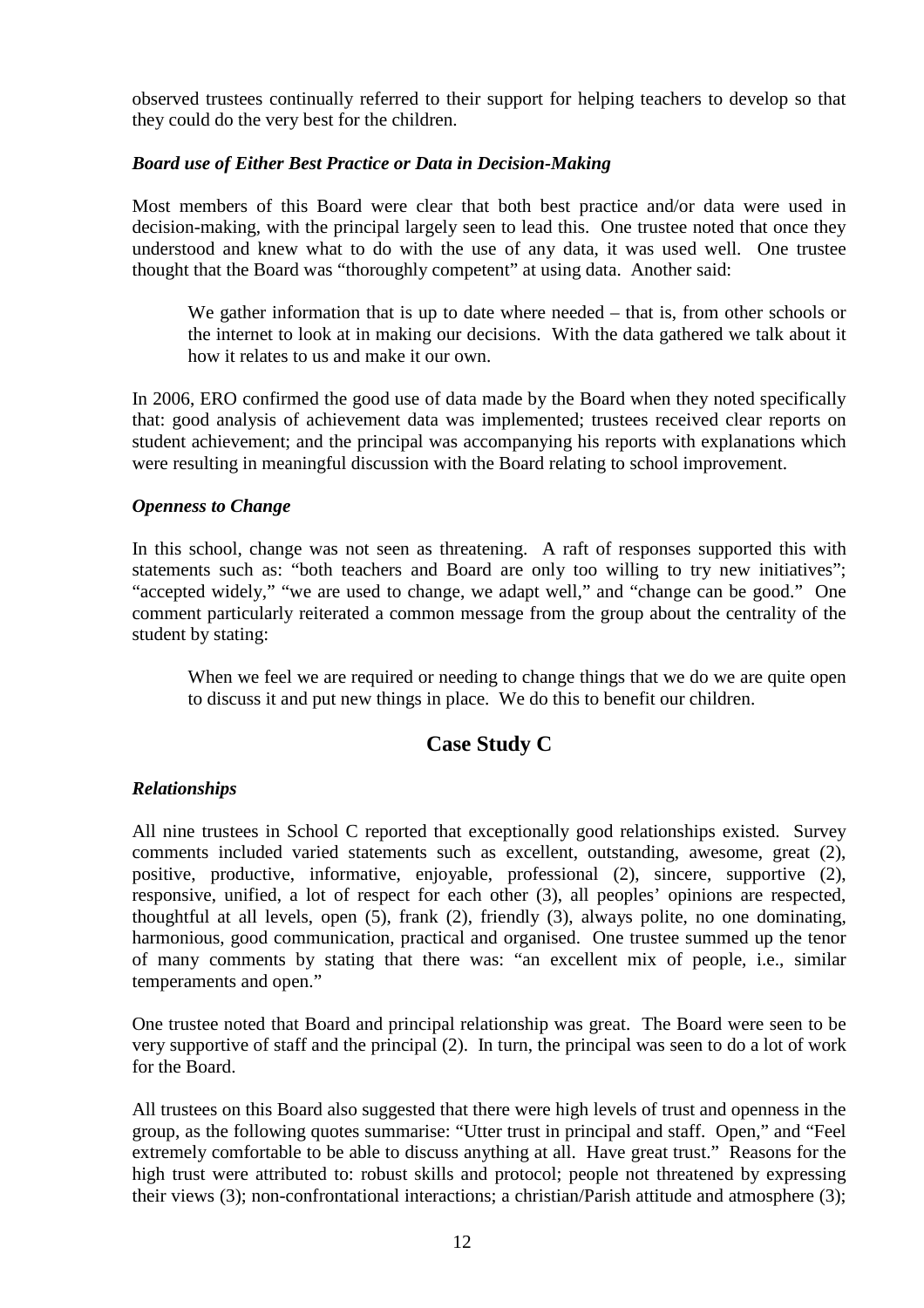observed trustees continually referred to their support for helping teachers to develop so that they could do the very best for the children.

#### *Board use of Either Best Practice or Data in Decision-Making*

Most members of this Board were clear that both best practice and/or data were used in decision-making, with the principal largely seen to lead this. One trustee noted that once they understood and knew what to do with the use of any data, it was used well. One trustee thought that the Board was "thoroughly competent" at using data. Another said:

We gather information that is up to date where needed – that is, from other schools or the internet to look at in making our decisions. With the data gathered we talk about it how it relates to us and make it our own.

In 2006, ERO confirmed the good use of data made by the Board when they noted specifically that: good analysis of achievement data was implemented; trustees received clear reports on student achievement; and the principal was accompanying his reports with explanations which were resulting in meaningful discussion with the Board relating to school improvement.

### *Openness to Change*

In this school, change was not seen as threatening. A raft of responses supported this with statements such as: "both teachers and Board are only too willing to try new initiatives": "accepted widely," "we are used to change, we adapt well," and "change can be good." One comment particularly reiterated a common message from the group about the centrality of the student by stating:

When we feel we are required or needing to change things that we do we are quite open to discuss it and put new things in place. We do this to benefit our children.

## **Case Study C**

#### *Relationships*

All nine trustees in School C reported that exceptionally good relationships existed. Survey comments included varied statements such as excellent, outstanding, awesome, great (2), positive, productive, informative, enjoyable, professional (2), sincere, supportive (2), responsive, unified, a lot of respect for each other (3), all peoples' opinions are respected, thoughtful at all levels, open (5), frank (2), friendly (3), always polite, no one dominating, harmonious, good communication, practical and organised. One trustee summed up the tenor of many comments by stating that there was: "an excellent mix of people, i.e., similar temperaments and open."

One trustee noted that Board and principal relationship was great. The Board were seen to be very supportive of staff and the principal (2). In turn, the principal was seen to do a lot of work for the Board.

All trustees on this Board also suggested that there were high levels of trust and openness in the group, as the following quotes summarise: "Utter trust in principal and staff. Open," and "Feel extremely comfortable to be able to discuss anything at all. Have great trust." Reasons for the high trust were attributed to: robust skills and protocol; people not threatened by expressing their views (3); non-confrontational interactions; a christian/Parish attitude and atmosphere (3);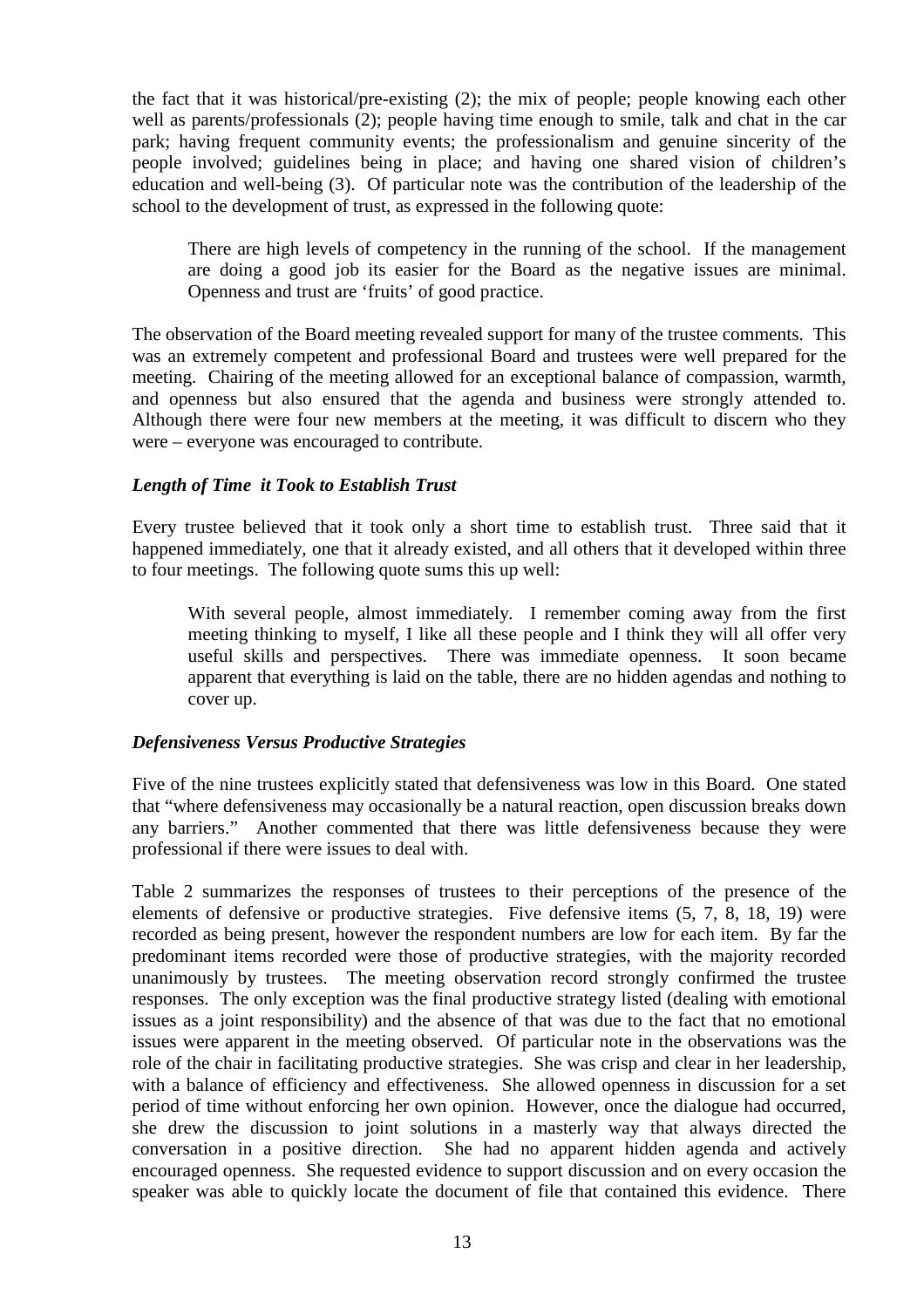the fact that it was historical/pre-existing (2); the mix of people; people knowing each other well as parents/professionals (2); people having time enough to smile, talk and chat in the car park; having frequent community events; the professionalism and genuine sincerity of the people involved; guidelines being in place; and having one shared vision of children's education and well-being (3). Of particular note was the contribution of the leadership of the school to the development of trust, as expressed in the following quote:

There are high levels of competency in the running of the school. If the management are doing a good job its easier for the Board as the negative issues are minimal. Openness and trust are 'fruits' of good practice.

The observation of the Board meeting revealed support for many of the trustee comments. This was an extremely competent and professional Board and trustees were well prepared for the meeting. Chairing of the meeting allowed for an exceptional balance of compassion, warmth, and openness but also ensured that the agenda and business were strongly attended to. Although there were four new members at the meeting, it was difficult to discern who they were – everyone was encouraged to contribute.

## *Length of Time it Took to Establish Trust*

Every trustee believed that it took only a short time to establish trust. Three said that it happened immediately, one that it already existed, and all others that it developed within three to four meetings. The following quote sums this up well:

With several people, almost immediately. I remember coming away from the first meeting thinking to myself, I like all these people and I think they will all offer very useful skills and perspectives. There was immediate openness. It soon became apparent that everything is laid on the table, there are no hidden agendas and nothing to cover up.

## *Defensiveness Versus Productive Strategies*

Five of the nine trustees explicitly stated that defensiveness was low in this Board. One stated that "where defensiveness may occasionally be a natural reaction, open discussion breaks down any barriers." Another commented that there was little defensiveness because they were professional if there were issues to deal with.

Table 2 summarizes the responses of trustees to their perceptions of the presence of the elements of defensive or productive strategies. Five defensive items (5, 7, 8, 18, 19) were recorded as being present, however the respondent numbers are low for each item. By far the predominant items recorded were those of productive strategies, with the majority recorded unanimously by trustees. The meeting observation record strongly confirmed the trustee responses. The only exception was the final productive strategy listed (dealing with emotional issues as a joint responsibility) and the absence of that was due to the fact that no emotional issues were apparent in the meeting observed. Of particular note in the observations was the role of the chair in facilitating productive strategies. She was crisp and clear in her leadership, with a balance of efficiency and effectiveness. She allowed openness in discussion for a set period of time without enforcing her own opinion. However, once the dialogue had occurred, she drew the discussion to joint solutions in a masterly way that always directed the conversation in a positive direction. She had no apparent hidden agenda and actively encouraged openness. She requested evidence to support discussion and on every occasion the speaker was able to quickly locate the document of file that contained this evidence. There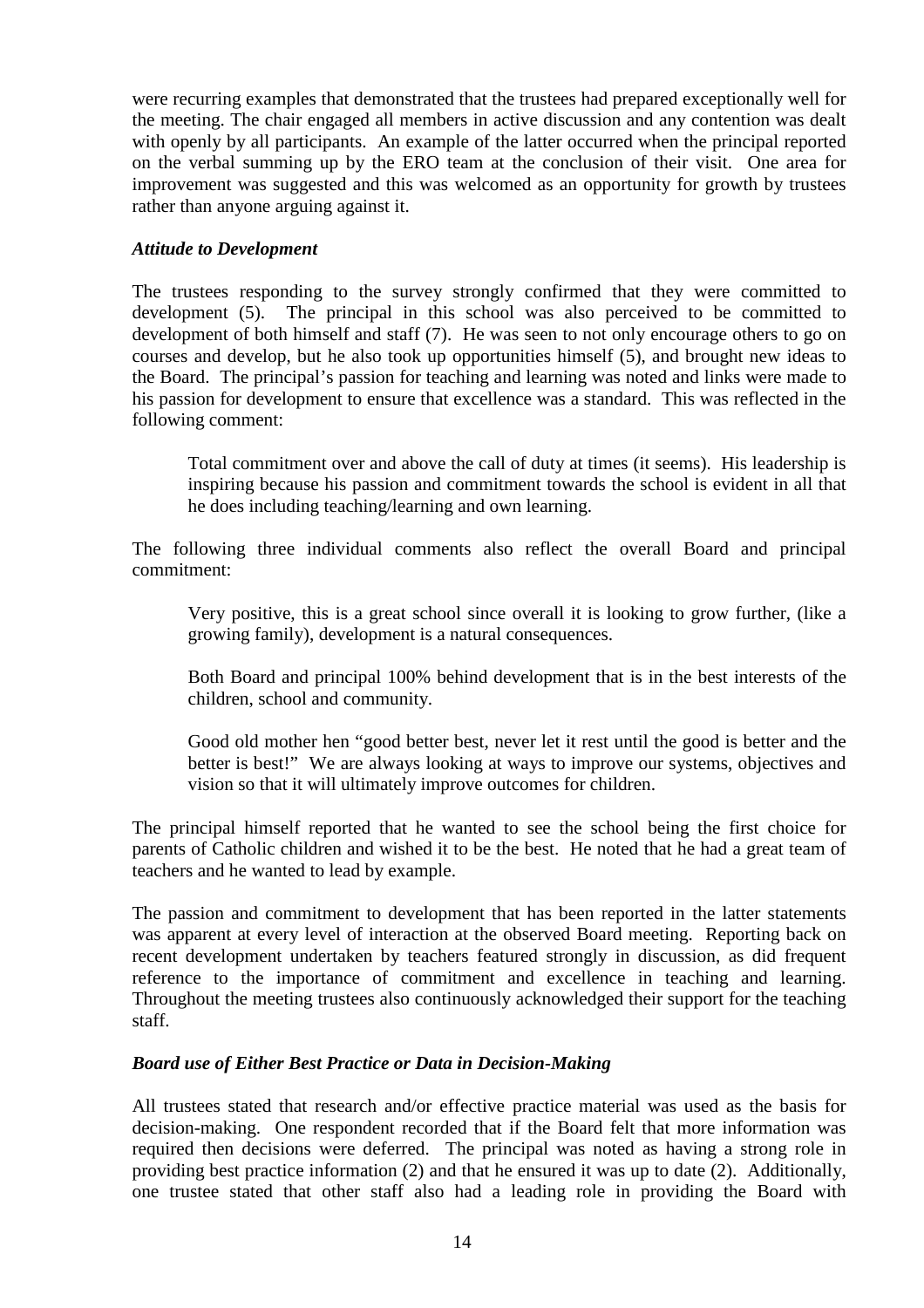were recurring examples that demonstrated that the trustees had prepared exceptionally well for the meeting. The chair engaged all members in active discussion and any contention was dealt with openly by all participants. An example of the latter occurred when the principal reported on the verbal summing up by the ERO team at the conclusion of their visit. One area for improvement was suggested and this was welcomed as an opportunity for growth by trustees rather than anyone arguing against it.

## *Attitude to Development*

The trustees responding to the survey strongly confirmed that they were committed to development (5). The principal in this school was also perceived to be committed to development of both himself and staff (7). He was seen to not only encourage others to go on courses and develop, but he also took up opportunities himself (5), and brought new ideas to the Board. The principal's passion for teaching and learning was noted and links were made to his passion for development to ensure that excellence was a standard. This was reflected in the following comment:

Total commitment over and above the call of duty at times (it seems). His leadership is inspiring because his passion and commitment towards the school is evident in all that he does including teaching/learning and own learning.

The following three individual comments also reflect the overall Board and principal commitment:

Very positive, this is a great school since overall it is looking to grow further, (like a growing family), development is a natural consequences.

Both Board and principal 100% behind development that is in the best interests of the children, school and community.

Good old mother hen "good better best, never let it rest until the good is better and the better is best!" We are always looking at ways to improve our systems, objectives and vision so that it will ultimately improve outcomes for children.

The principal himself reported that he wanted to see the school being the first choice for parents of Catholic children and wished it to be the best. He noted that he had a great team of teachers and he wanted to lead by example.

The passion and commitment to development that has been reported in the latter statements was apparent at every level of interaction at the observed Board meeting. Reporting back on recent development undertaken by teachers featured strongly in discussion, as did frequent reference to the importance of commitment and excellence in teaching and learning. Throughout the meeting trustees also continuously acknowledged their support for the teaching staff.

## *Board use of Either Best Practice or Data in Decision-Making*

All trustees stated that research and/or effective practice material was used as the basis for decision-making. One respondent recorded that if the Board felt that more information was required then decisions were deferred. The principal was noted as having a strong role in providing best practice information (2) and that he ensured it was up to date (2). Additionally, one trustee stated that other staff also had a leading role in providing the Board with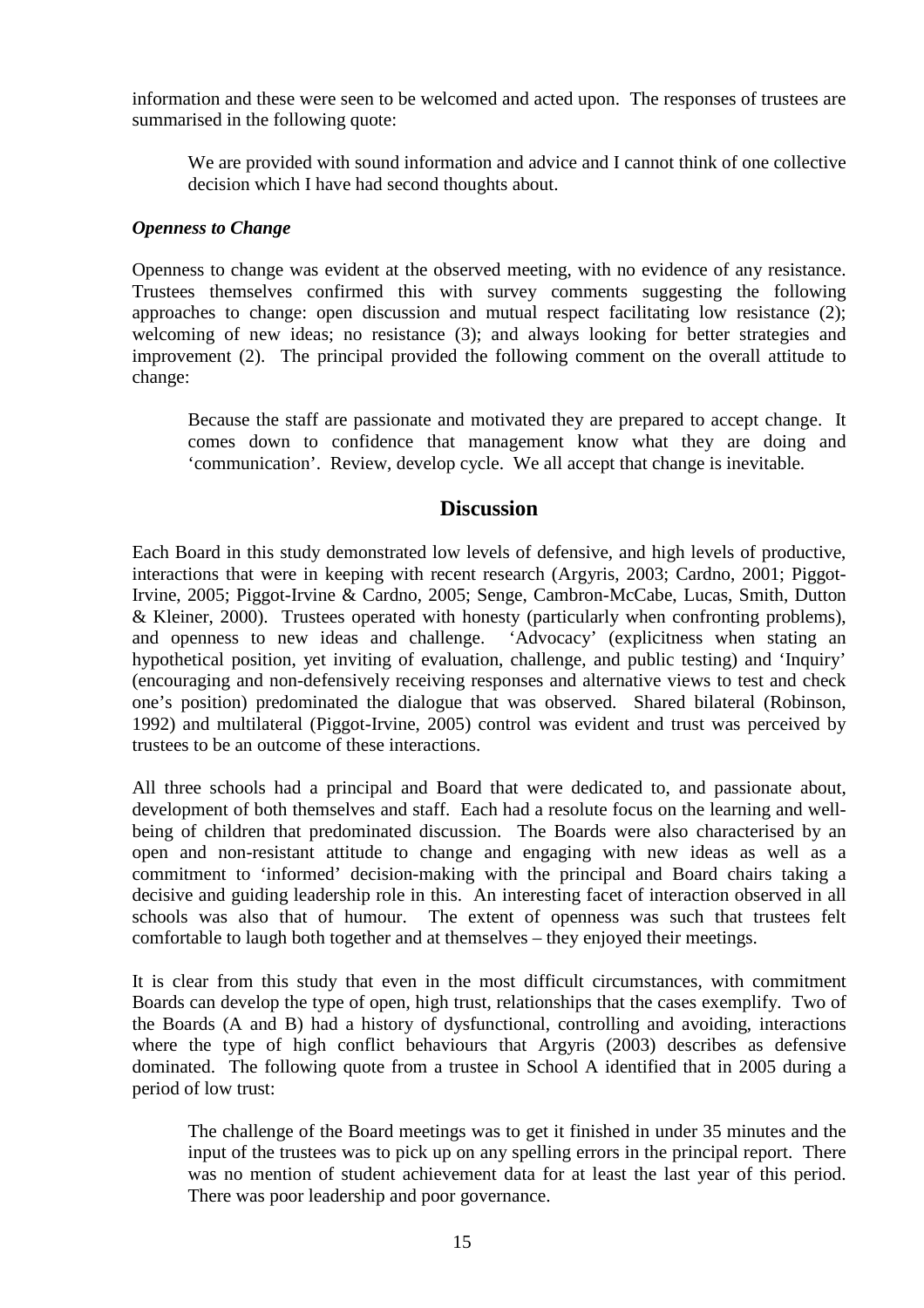information and these were seen to be welcomed and acted upon. The responses of trustees are summarised in the following quote:

We are provided with sound information and advice and I cannot think of one collective decision which I have had second thoughts about.

### *Openness to Change*

Openness to change was evident at the observed meeting, with no evidence of any resistance. Trustees themselves confirmed this with survey comments suggesting the following approaches to change: open discussion and mutual respect facilitating low resistance (2); welcoming of new ideas; no resistance (3); and always looking for better strategies and improvement (2). The principal provided the following comment on the overall attitude to change:

Because the staff are passionate and motivated they are prepared to accept change. It comes down to confidence that management know what they are doing and 'communication'. Review, develop cycle. We all accept that change is inevitable.

## **Discussion**

Each Board in this study demonstrated low levels of defensive, and high levels of productive, interactions that were in keeping with recent research (Argyris, 2003; Cardno, 2001; Piggot-Irvine, 2005; Piggot-Irvine & Cardno, 2005; Senge, Cambron-McCabe, Lucas, Smith, Dutton & Kleiner, 2000). Trustees operated with honesty (particularly when confronting problems), and openness to new ideas and challenge. 'Advocacy' (explicitness when stating an hypothetical position, yet inviting of evaluation, challenge, and public testing) and 'Inquiry' (encouraging and non-defensively receiving responses and alternative views to test and check one's position) predominated the dialogue that was observed. Shared bilateral (Robinson, 1992) and multilateral (Piggot-Irvine, 2005) control was evident and trust was perceived by trustees to be an outcome of these interactions.

All three schools had a principal and Board that were dedicated to, and passionate about, development of both themselves and staff. Each had a resolute focus on the learning and wellbeing of children that predominated discussion. The Boards were also characterised by an open and non-resistant attitude to change and engaging with new ideas as well as a commitment to 'informed' decision-making with the principal and Board chairs taking a decisive and guiding leadership role in this. An interesting facet of interaction observed in all schools was also that of humour. The extent of openness was such that trustees felt comfortable to laugh both together and at themselves – they enjoyed their meetings.

It is clear from this study that even in the most difficult circumstances, with commitment Boards can develop the type of open, high trust, relationships that the cases exemplify. Two of the Boards (A and B) had a history of dysfunctional, controlling and avoiding, interactions where the type of high conflict behaviours that Argyris (2003) describes as defensive dominated. The following quote from a trustee in School A identified that in 2005 during a period of low trust:

The challenge of the Board meetings was to get it finished in under 35 minutes and the input of the trustees was to pick up on any spelling errors in the principal report. There was no mention of student achievement data for at least the last year of this period. There was poor leadership and poor governance.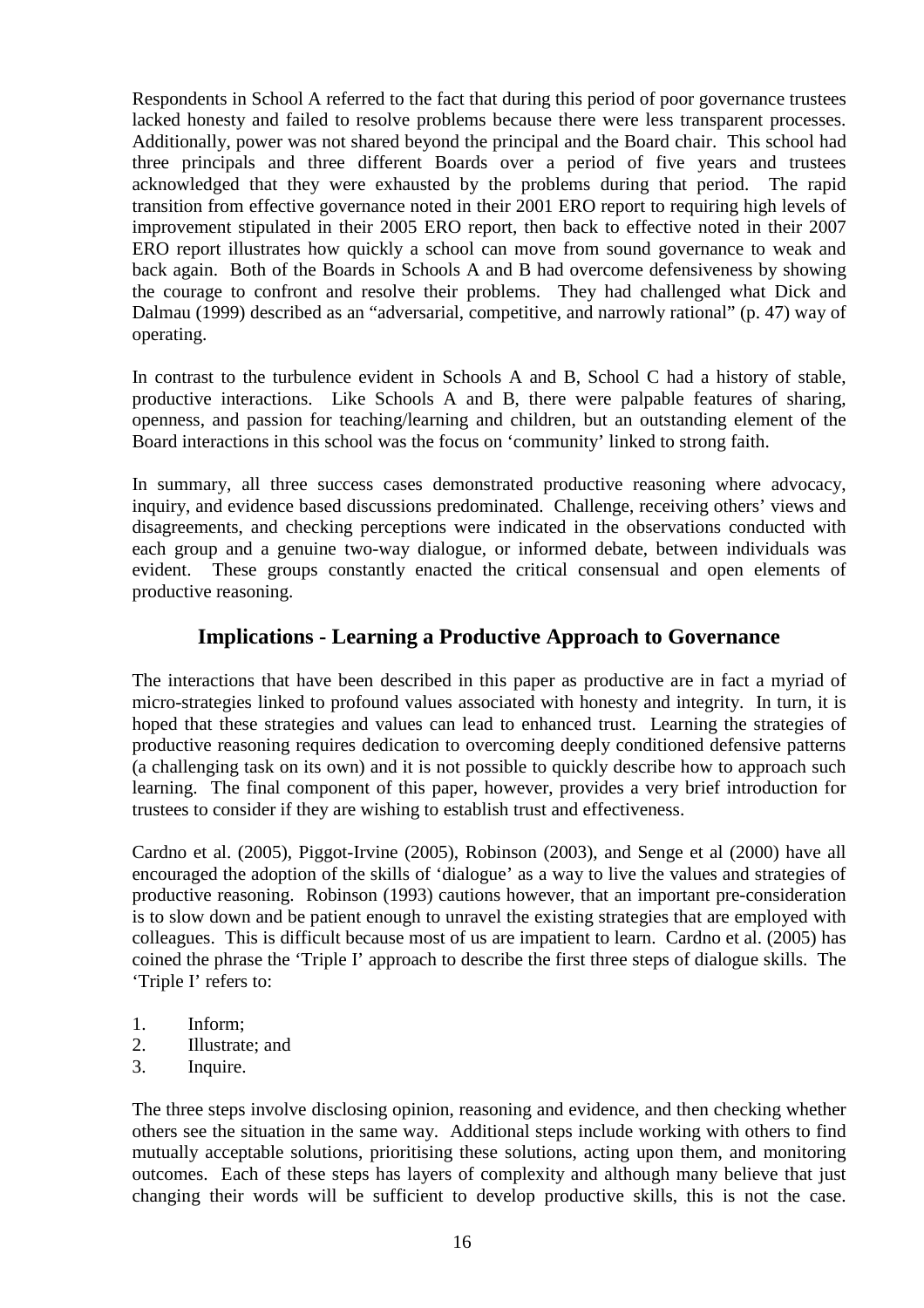Respondents in School A referred to the fact that during this period of poor governance trustees lacked honesty and failed to resolve problems because there were less transparent processes. Additionally, power was not shared beyond the principal and the Board chair. This school had three principals and three different Boards over a period of five years and trustees acknowledged that they were exhausted by the problems during that period. The rapid transition from effective governance noted in their 2001 ERO report to requiring high levels of improvement stipulated in their 2005 ERO report, then back to effective noted in their 2007 ERO report illustrates how quickly a school can move from sound governance to weak and back again. Both of the Boards in Schools A and B had overcome defensiveness by showing the courage to confront and resolve their problems. They had challenged what Dick and Dalmau (1999) described as an "adversarial, competitive, and narrowly rational" (p. 47) way of operating.

In contrast to the turbulence evident in Schools A and B, School C had a history of stable, productive interactions. Like Schools A and B, there were palpable features of sharing, openness, and passion for teaching/learning and children, but an outstanding element of the Board interactions in this school was the focus on 'community' linked to strong faith.

In summary, all three success cases demonstrated productive reasoning where advocacy, inquiry, and evidence based discussions predominated. Challenge, receiving others' views and disagreements, and checking perceptions were indicated in the observations conducted with each group and a genuine two-way dialogue, or informed debate, between individuals was evident. These groups constantly enacted the critical consensual and open elements of productive reasoning.

## **Implications - Learning a Productive Approach to Governance**

The interactions that have been described in this paper as productive are in fact a myriad of micro-strategies linked to profound values associated with honesty and integrity. In turn, it is hoped that these strategies and values can lead to enhanced trust. Learning the strategies of productive reasoning requires dedication to overcoming deeply conditioned defensive patterns (a challenging task on its own) and it is not possible to quickly describe how to approach such learning. The final component of this paper, however, provides a very brief introduction for trustees to consider if they are wishing to establish trust and effectiveness.

Cardno et al. (2005), Piggot-Irvine (2005), Robinson (2003), and Senge et al (2000) have all encouraged the adoption of the skills of 'dialogue' as a way to live the values and strategies of productive reasoning. Robinson (1993) cautions however, that an important pre-consideration is to slow down and be patient enough to unravel the existing strategies that are employed with colleagues. This is difficult because most of us are impatient to learn. Cardno et al. (2005) has coined the phrase the 'Triple I' approach to describe the first three steps of dialogue skills. The 'Triple I' refers to:

- 1. Inform;
- 2. Illustrate; and
- 3. Inquire.

The three steps involve disclosing opinion, reasoning and evidence, and then checking whether others see the situation in the same way. Additional steps include working with others to find mutually acceptable solutions, prioritising these solutions, acting upon them, and monitoring outcomes. Each of these steps has layers of complexity and although many believe that just changing their words will be sufficient to develop productive skills, this is not the case.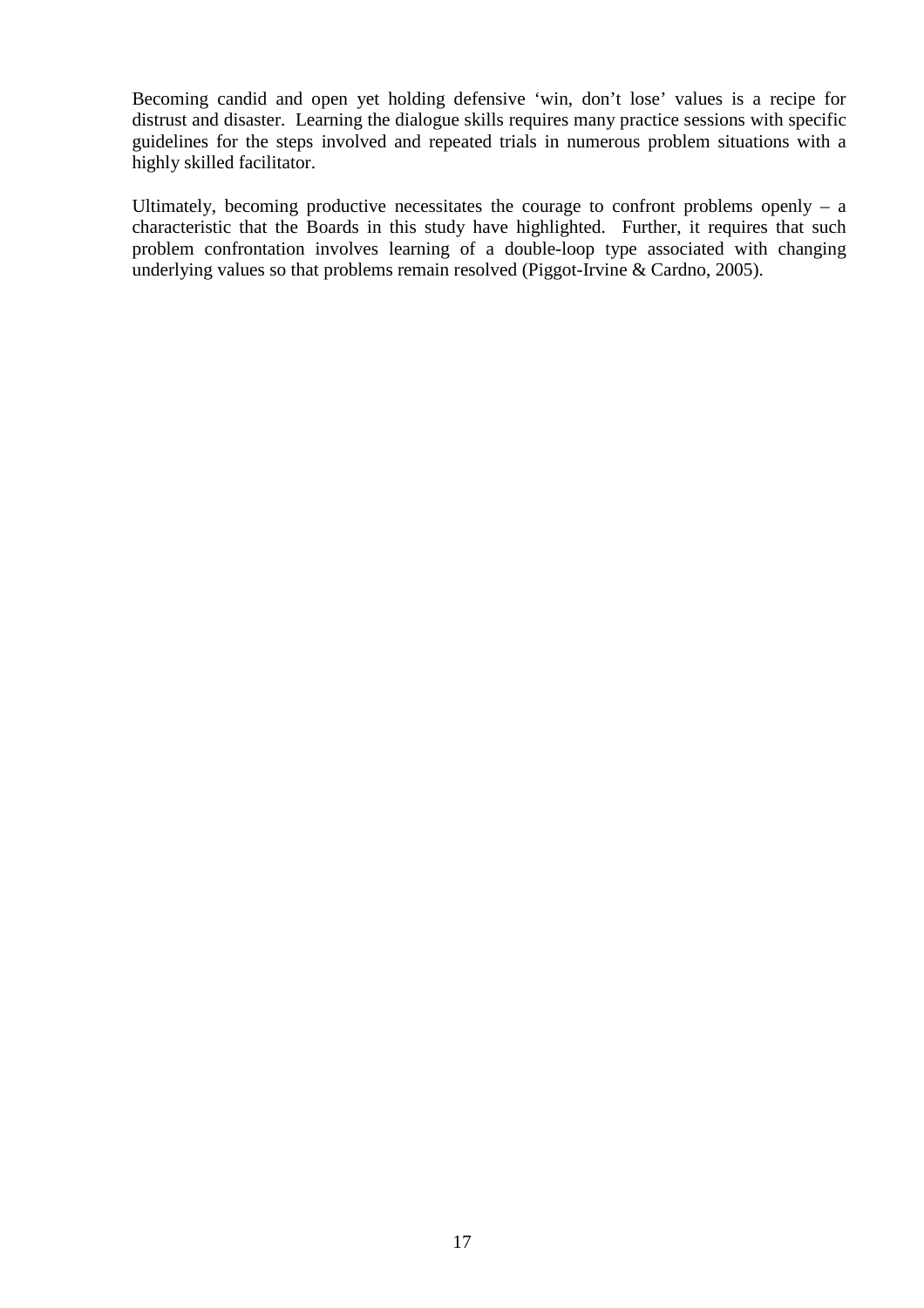Becoming candid and open yet holding defensive 'win, don't lose' values is a recipe for distrust and disaster. Learning the dialogue skills requires many practice sessions with specific guidelines for the steps involved and repeated trials in numerous problem situations with a highly skilled facilitator.

Ultimately, becoming productive necessitates the courage to confront problems openly  $-$  a characteristic that the Boards in this study have highlighted. Further, it requires that such problem confrontation involves learning of a double-loop type associated with changing underlying values so that problems remain resolved (Piggot-Irvine & Cardno, 2005).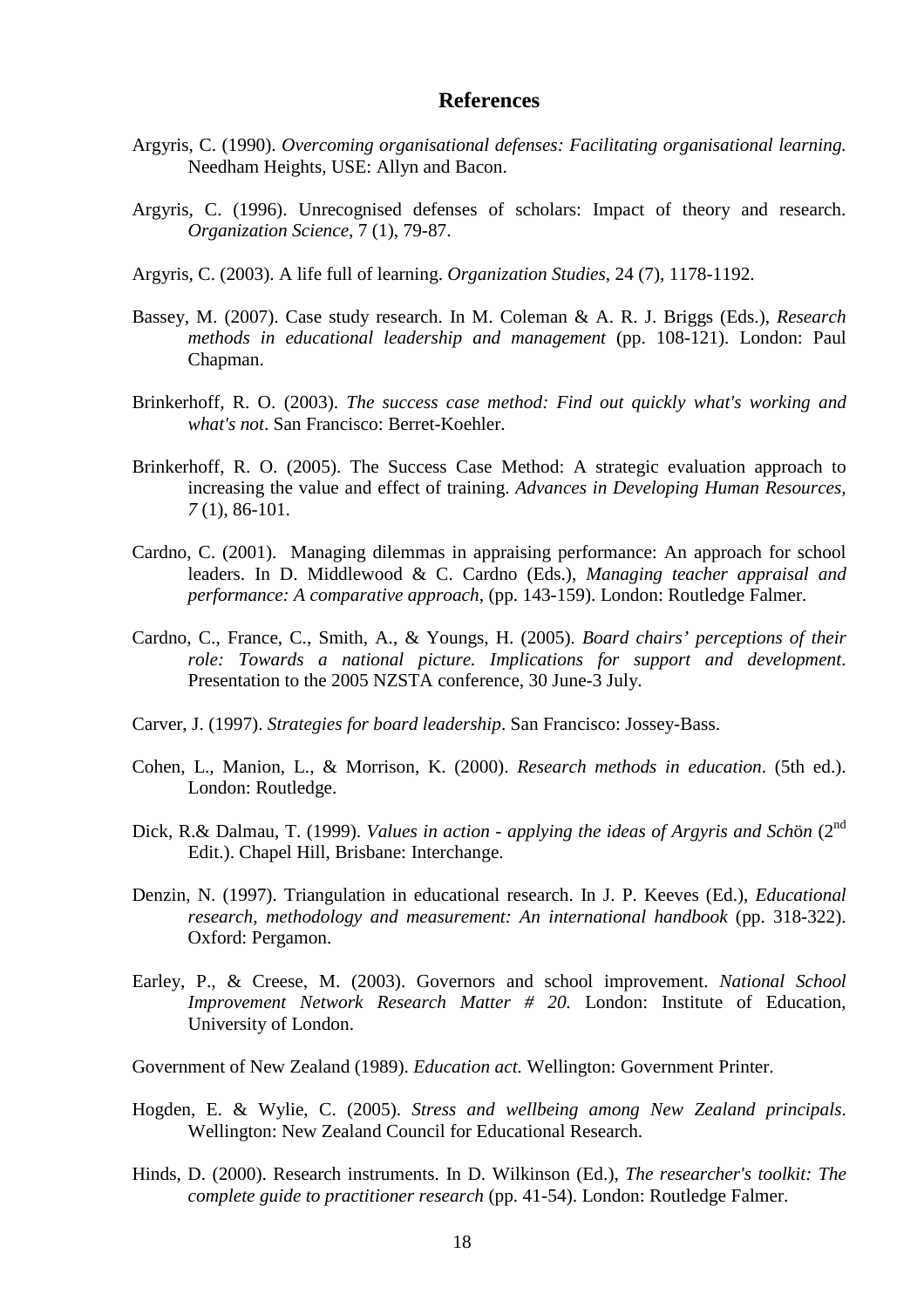#### **References**

- Argyris, C. (1990). *Overcoming organisational defenses: Facilitating organisational learning.* Needham Heights, USE: Allyn and Bacon.
- Argyris, C. (1996). Unrecognised defenses of scholars: Impact of theory and research. *Organization Science,* 7 (1), 79-87.
- Argyris, C. (2003). A life full of learning. *Organization Studies*, 24 (7), 1178-1192.
- Bassey, M. (2007). Case study research. In M. Coleman & A. R. J. Briggs (Eds.), *Research methods in educational leadership and management* (pp. 108-121). London: Paul Chapman.
- Brinkerhoff, R. O. (2003). *The success case method: Find out quickly what's working and what's not*. San Francisco: Berret-Koehler.
- Brinkerhoff, R. O. (2005). The Success Case Method: A strategic evaluation approach to increasing the value and effect of training. *Advances in Developing Human Resources, 7* (1), 86-101.
- Cardno, C. (2001). Managing dilemmas in appraising performance: An approach for school leaders. In D. Middlewood & C. Cardno (Eds.), *Managing teacher appraisal and performance: A comparative approach*, (pp. 143-159). London: Routledge Falmer.
- Cardno, C., France, C., Smith, A., & Youngs, H. (2005). *Board chairs' perceptions of their role: Towards a national picture. Implications for support and development*. Presentation to the 2005 NZSTA conference, 30 June-3 July.
- Carver, J. (1997). *Strategies for board leadership*. San Francisco: Jossey-Bass.
- Cohen, L., Manion, L., & Morrison, K. (2000). *Research methods in education*. (5th ed.). London: Routledge.
- Dick, R.& Dalmau, T. (1999). *Values in action applying the ideas of Argyris and Sch*ö*n* (2nd Edit.). Chapel Hill, Brisbane: Interchange.
- Denzin, N. (1997). Triangulation in educational research. In J. P. Keeves (Ed.), *Educational research, methodology and measurement: An international handbook* (pp. 318-322). Oxford: Pergamon.
- Earley, P., & Creese, M. (2003). Governors and school improvement. *National School Improvement Network Research Matter # 20.* London: Institute of Education, University of London.

Government of New Zealand (1989). *Education act.* Wellington: Government Printer.

- Hogden, E. & Wylie, C. (2005). *Stress and wellbeing among New Zealand principals*. Wellington: New Zealand Council for Educational Research.
- Hinds, D. (2000). Research instruments. In D. Wilkinson (Ed.), *The researcher's toolkit: The complete guide to practitioner research* (pp. 41-54). London: Routledge Falmer.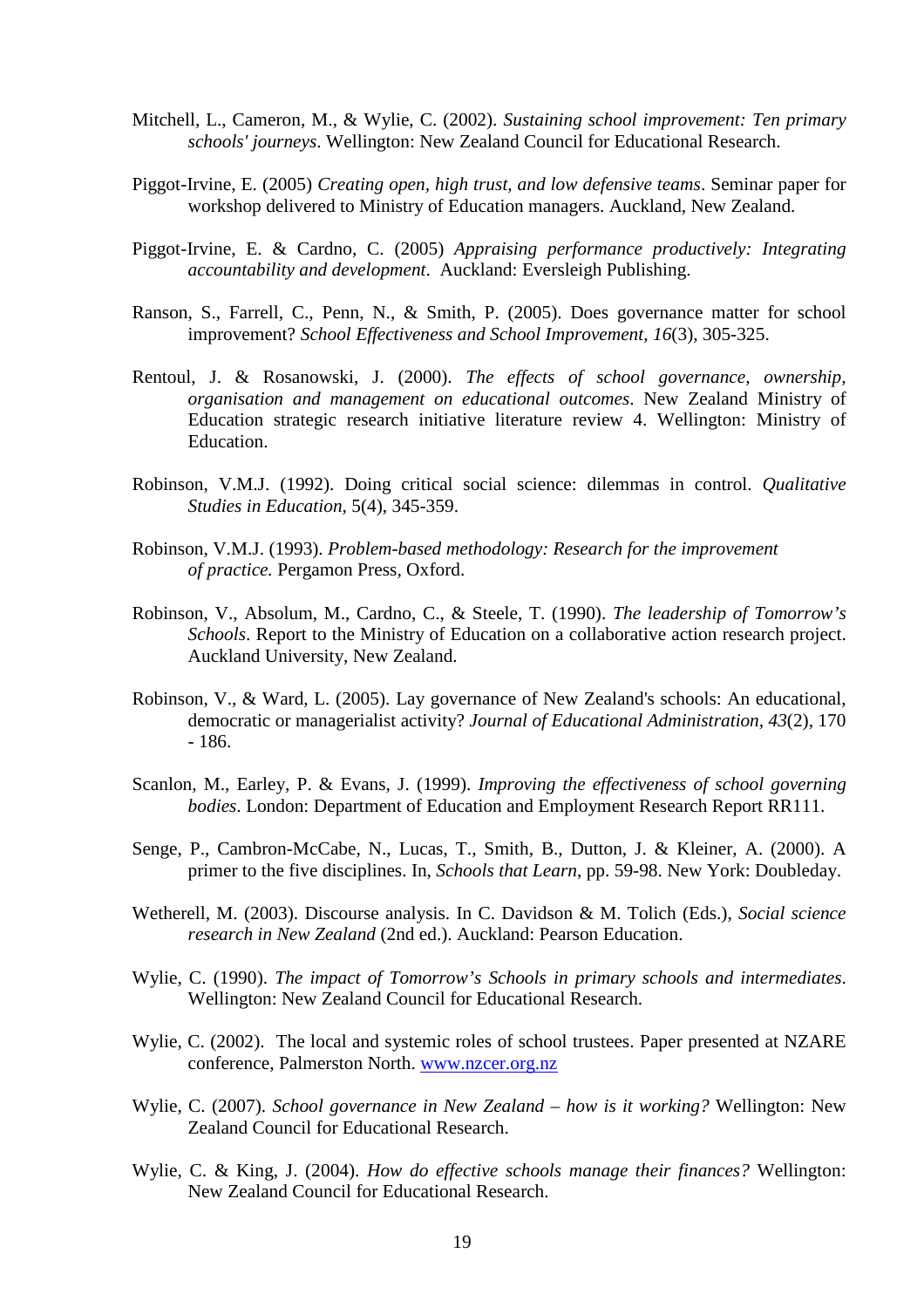- Mitchell, L., Cameron, M., & Wylie, C. (2002). *Sustaining school improvement: Ten primary schools' journeys*. Wellington: New Zealand Council for Educational Research.
- Piggot-Irvine, E. (2005) *Creating open, high trust, and low defensive teams*. Seminar paper for workshop delivered to Ministry of Education managers. Auckland, New Zealand.
- Piggot-Irvine, E. & Cardno, C. (2005) *Appraising performance productively: Integrating accountability and development*. Auckland: Eversleigh Publishing.
- Ranson, S., Farrell, C., Penn, N., & Smith, P. (2005). Does governance matter for school improvement? *School Effectiveness and School Improvement, 16*(3), 305-325.
- Rentoul, J. & Rosanowski, J. (2000). *The effects of school governance, ownership, organisation and management on educational outcomes*. New Zealand Ministry of Education strategic research initiative literature review 4. Wellington: Ministry of Education.
- Robinson, V.M.J. (1992). Doing critical social science: dilemmas in control. *Qualitative Studies in Education,* 5(4), 345-359.
- Robinson, V.M.J. (1993). *Problem-based methodology: Research for the improvement of practice.* Pergamon Press, Oxford.
- Robinson, V., Absolum, M., Cardno, C., & Steele, T. (1990). *The leadership of Tomorrow's Schools*. Report to the Ministry of Education on a collaborative action research project. Auckland University, New Zealand.
- Robinson, V., & Ward, L. (2005). Lay governance of New Zealand's schools: An educational, democratic or managerialist activity? *Journal of Educational Administration, 43*(2), 170 - 186.
- Scanlon, M., Earley, P. & Evans, J. (1999). *Improving the effectiveness of school governing bodies*. London: Department of Education and Employment Research Report RR111.
- Senge, P., Cambron-McCabe, N., Lucas, T., Smith, B., Dutton, J. & Kleiner, A. (2000). A primer to the five disciplines. In, *Schools that Learn*, pp. 59-98. New York: Doubleday.
- Wetherell, M. (2003). Discourse analysis. In C. Davidson & M. Tolich (Eds.), *Social science research in New Zealand* (2nd ed.). Auckland: Pearson Education.
- Wylie, C. (1990). *The impact of Tomorrow's Schools in primary schools and intermediates*. Wellington: New Zealand Council for Educational Research.
- Wylie, C. (2002). The local and systemic roles of school trustees. Paper presented at NZARE conference, Palmerston North. www.nzcer.org.nz
- Wylie, C. (2007). *School governance in New Zealand how is it working?* Wellington: New Zealand Council for Educational Research.
- Wylie, C. & King, J. (2004). *How do effective schools manage their finances?* Wellington: New Zealand Council for Educational Research.